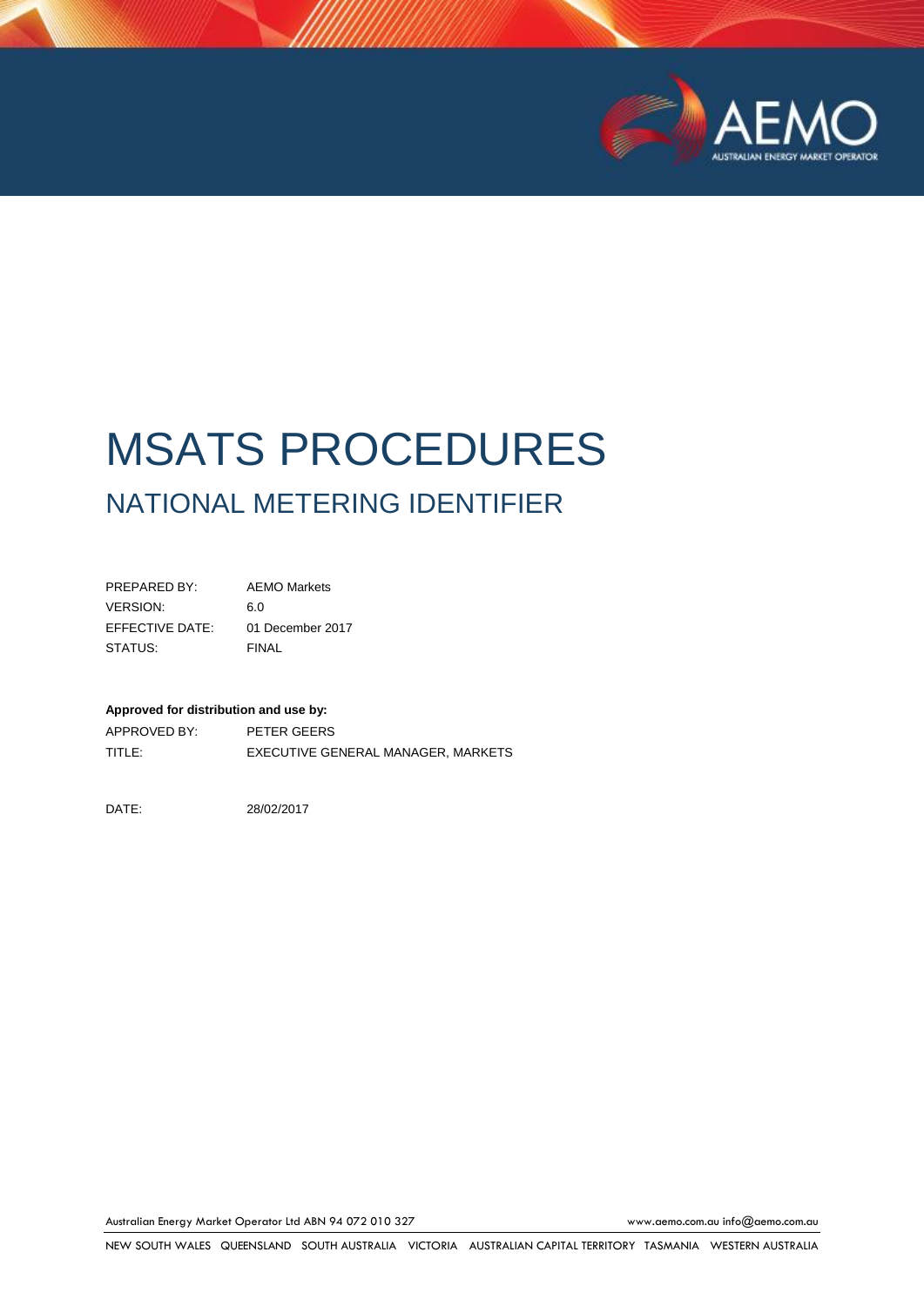

# MSATS PROCEDURES NATIONAL METERING IDENTIFIER

| PRFPARFD BY:    | <b>AEMO Markets</b> |
|-----------------|---------------------|
| VERSION:        | 6.0                 |
| EFFECTIVE DATE: | 01 December 2017    |
| STATUS:         | <b>FINAL</b>        |

#### **Approved for distribution and use by:**

APPROVED BY: PETER GEERS TITLE: EXECUTIVE GENERAL MANAGER, MARKETS

DATE: 28/02/2017

Australian Energy Market Operator Ltd ABN 94 072 010 327 [www.aemo.com.au](http://www.aemo.com.au/) [info@aemo.com.au](mailto:info@aemo.com.au)

NEW SOUTH WALES QUEENSLAND SOUTH AUSTRALIA VICTORIA AUSTRALIAN CAPITAL TERRITORY TASMANIA WESTERN AUSTRALIA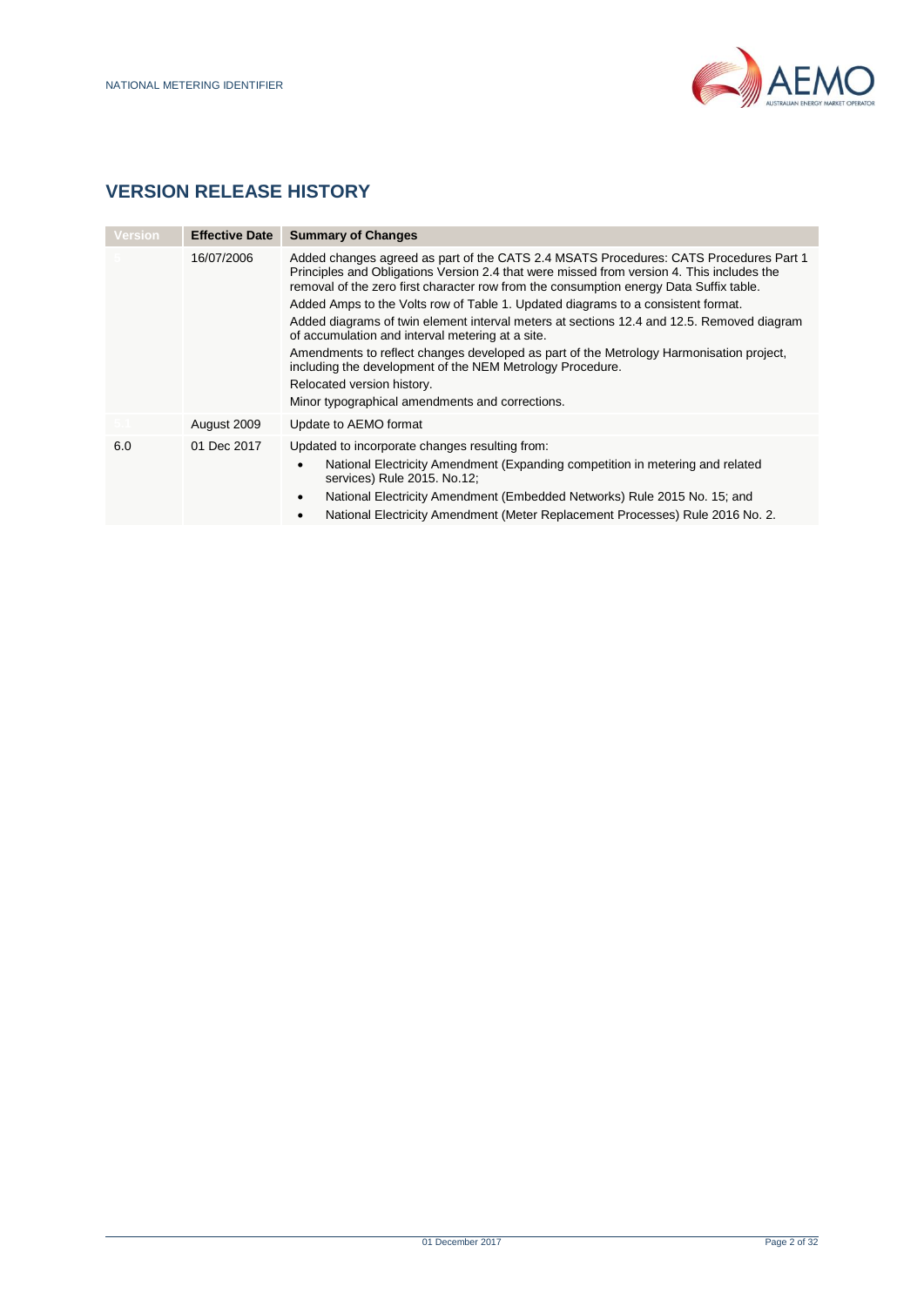# **VERSION RELEASE HISTORY**

| <b>Version</b> | <b>Effective Date</b> | <b>Summary of Changes</b>                                                                                                                                                                                                                                                    |
|----------------|-----------------------|------------------------------------------------------------------------------------------------------------------------------------------------------------------------------------------------------------------------------------------------------------------------------|
|                | 16/07/2006            | Added changes agreed as part of the CATS 2.4 MSATS Procedures: CATS Procedures Part 1<br>Principles and Obligations Version 2.4 that were missed from version 4. This includes the<br>removal of the zero first character row from the consumption energy Data Suffix table. |
|                |                       | Added Amps to the Volts row of Table 1. Updated diagrams to a consistent format.                                                                                                                                                                                             |
|                |                       | Added diagrams of twin element interval meters at sections 12.4 and 12.5. Removed diagram<br>of accumulation and interval metering at a site.                                                                                                                                |
|                |                       | Amendments to reflect changes developed as part of the Metrology Harmonisation project,<br>including the development of the NEM Metrology Procedure.                                                                                                                         |
|                |                       | Relocated version history.                                                                                                                                                                                                                                                   |
|                |                       | Minor typographical amendments and corrections.                                                                                                                                                                                                                              |
|                | August 2009           | Update to AEMO format                                                                                                                                                                                                                                                        |
| 6.0            | 01 Dec 2017           | Updated to incorporate changes resulting from:                                                                                                                                                                                                                               |
|                |                       | National Electricity Amendment (Expanding competition in metering and related<br>٠<br>services) Rule 2015. No.12;                                                                                                                                                            |
|                |                       | National Electricity Amendment (Embedded Networks) Rule 2015 No. 15; and<br>٠                                                                                                                                                                                                |
|                |                       | National Electricity Amendment (Meter Replacement Processes) Rule 2016 No. 2.                                                                                                                                                                                                |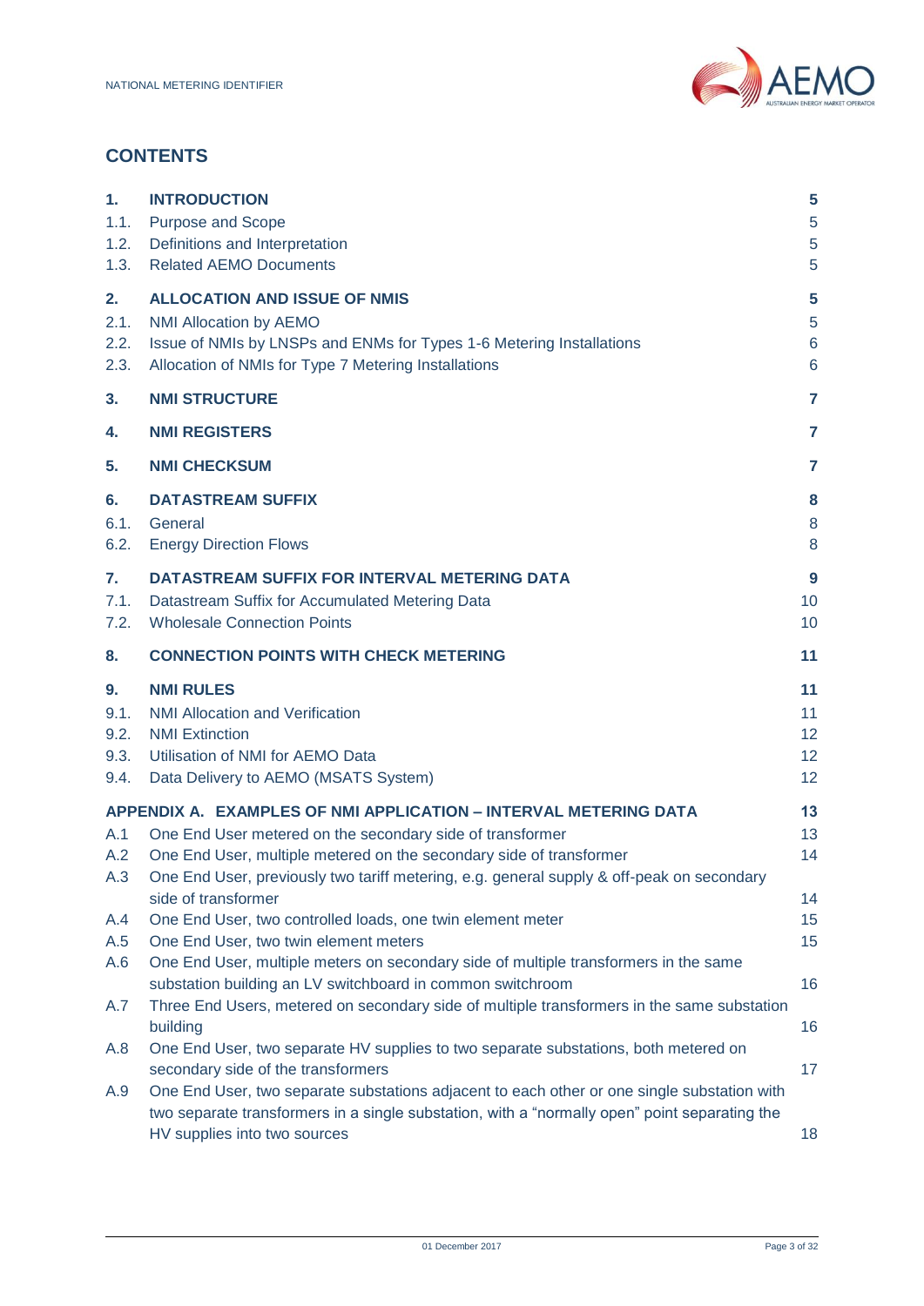

# **CONTENTS**

| 1.<br>1.1.<br>1.2.<br>1.3.         | <b>INTRODUCTION</b><br><b>Purpose and Scope</b><br>Definitions and Interpretation<br><b>Related AEMO Documents</b>                                                                                                           | 5<br>5<br>5<br>5           |
|------------------------------------|------------------------------------------------------------------------------------------------------------------------------------------------------------------------------------------------------------------------------|----------------------------|
| 2.<br>2.1.<br>2.2.<br>2.3.         | <b>ALLOCATION AND ISSUE OF NMIS</b><br>NMI Allocation by AEMO<br>Issue of NMIs by LNSPs and ENMs for Types 1-6 Metering Installations<br>Allocation of NMIs for Type 7 Metering Installations                                | 5<br>5<br>6<br>6           |
| 3.                                 | <b>NMI STRUCTURE</b>                                                                                                                                                                                                         | 7                          |
| 4.                                 | <b>NMI REGISTERS</b>                                                                                                                                                                                                         | 7                          |
| 5.                                 | <b>NMI CHECKSUM</b>                                                                                                                                                                                                          | 7                          |
| 6.<br>6.1.<br>6.2.                 | <b>DATASTREAM SUFFIX</b><br>General<br><b>Energy Direction Flows</b>                                                                                                                                                         | 8<br>8<br>8                |
| 7.<br>7.1.<br>7.2.                 | DATASTREAM SUFFIX FOR INTERVAL METERING DATA<br>Datastream Suffix for Accumulated Metering Data<br><b>Wholesale Connection Points</b>                                                                                        | 9<br>10<br>10              |
| 8.                                 | <b>CONNECTION POINTS WITH CHECK METERING</b>                                                                                                                                                                                 | 11                         |
| 9.<br>9.1.<br>9.2.<br>9.3.<br>9.4. | <b>NMI RULES</b><br><b>NMI Allocation and Verification</b><br><b>NMI Extinction</b><br>Utilisation of NMI for AEMO Data<br>Data Delivery to AEMO (MSATS System)                                                              | 11<br>11<br>12<br>12<br>12 |
|                                    | APPENDIX A. EXAMPLES OF NMI APPLICATION - INTERVAL METERING DATA                                                                                                                                                             | 13                         |
| A.1<br>A.2                         | One End User metered on the secondary side of transformer<br>One End User, multiple metered on the secondary side of transformer                                                                                             | 13<br>14                   |
| A.3<br>A.4<br>A.5                  | One End User, previously two tariff metering, e.g. general supply & off-peak on secondary<br>side of transformer<br>One End User, two controlled loads, one twin element meter<br>One End User, two twin element meters      | 14<br>15<br>15             |
| A.6                                | One End User, multiple meters on secondary side of multiple transformers in the same<br>substation building an LV switchboard in common switchroom                                                                           | 16                         |
| A.7                                | Three End Users, metered on secondary side of multiple transformers in the same substation<br>building                                                                                                                       | 16                         |
| A.8                                | One End User, two separate HV supplies to two separate substations, both metered on<br>secondary side of the transformers                                                                                                    | 17                         |
| A.9                                | One End User, two separate substations adjacent to each other or one single substation with<br>two separate transformers in a single substation, with a "normally open" point separating the<br>HV supplies into two sources | 18                         |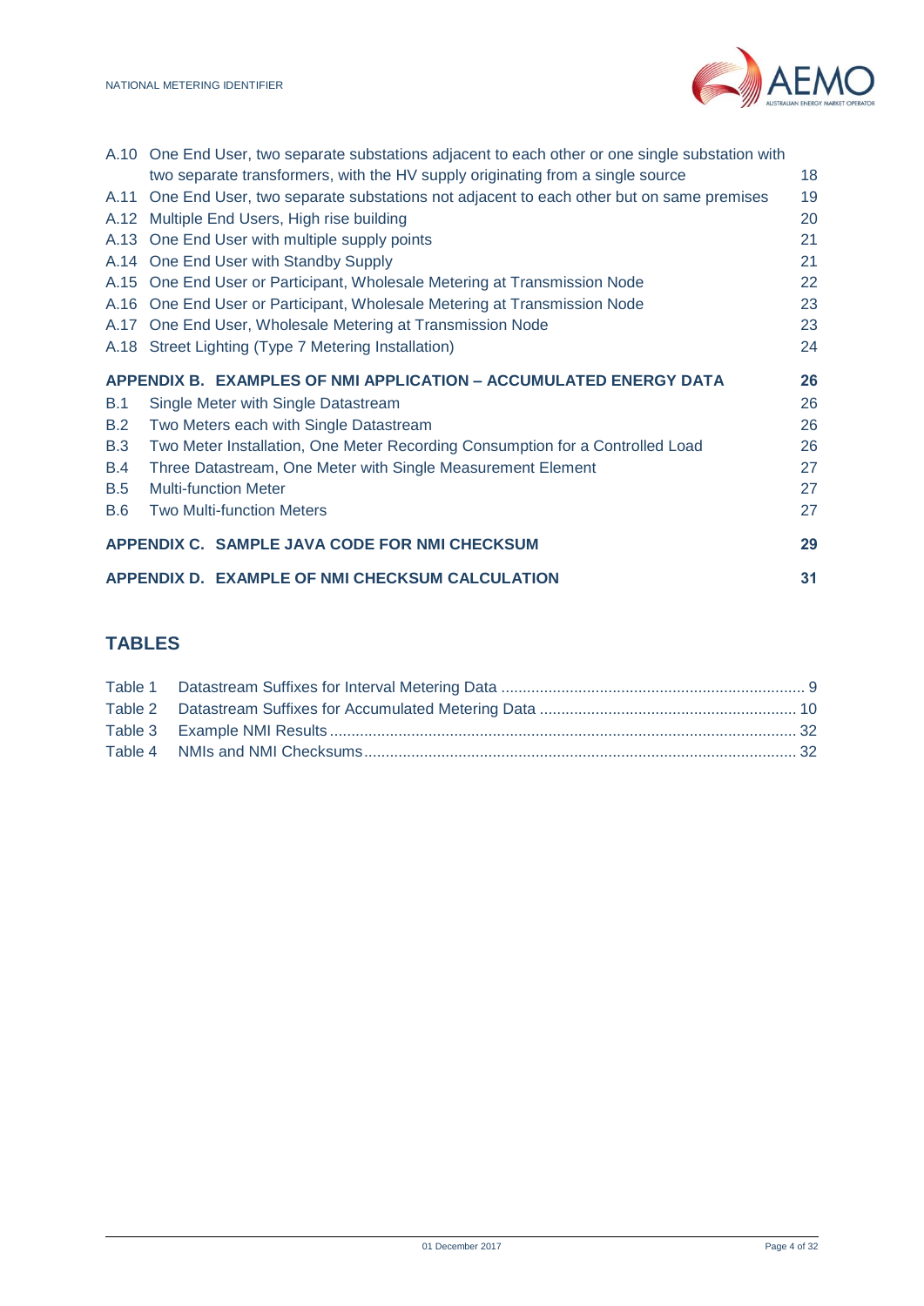|            | A.10 One End User, two separate substations adjacent to each other or one single substation with |    |
|------------|--------------------------------------------------------------------------------------------------|----|
|            | two separate transformers, with the HV supply originating from a single source                   | 18 |
|            | A.11 One End User, two separate substations not adjacent to each other but on same premises      | 19 |
|            | A.12 Multiple End Users, High rise building                                                      | 20 |
|            | A.13 One End User with multiple supply points                                                    | 21 |
|            | A.14 One End User with Standby Supply                                                            | 21 |
|            | A.15 One End User or Participant, Wholesale Metering at Transmission Node                        | 22 |
|            | A.16 One End User or Participant, Wholesale Metering at Transmission Node                        | 23 |
|            | A.17 One End User, Wholesale Metering at Transmission Node                                       | 23 |
|            | A.18 Street Lighting (Type 7 Metering Installation)                                              | 24 |
|            | APPENDIX B. EXAMPLES OF NMI APPLICATION - ACCUMULATED ENERGY DATA                                | 26 |
| B.1        | Single Meter with Single Datastream                                                              | 26 |
| B.2        | Two Meters each with Single Datastream                                                           |    |
|            |                                                                                                  | 26 |
| <b>B.3</b> | Two Meter Installation, One Meter Recording Consumption for a Controlled Load                    | 26 |
| B.4        | Three Datastream, One Meter with Single Measurement Element                                      | 27 |
| <b>B.5</b> | <b>Multi-function Meter</b>                                                                      | 27 |
| B.6        | <b>Two Multi-function Meters</b>                                                                 | 27 |
|            | APPENDIX C. SAMPLE JAVA CODE FOR NMI CHECKSUM                                                    | 29 |

# **TABLES**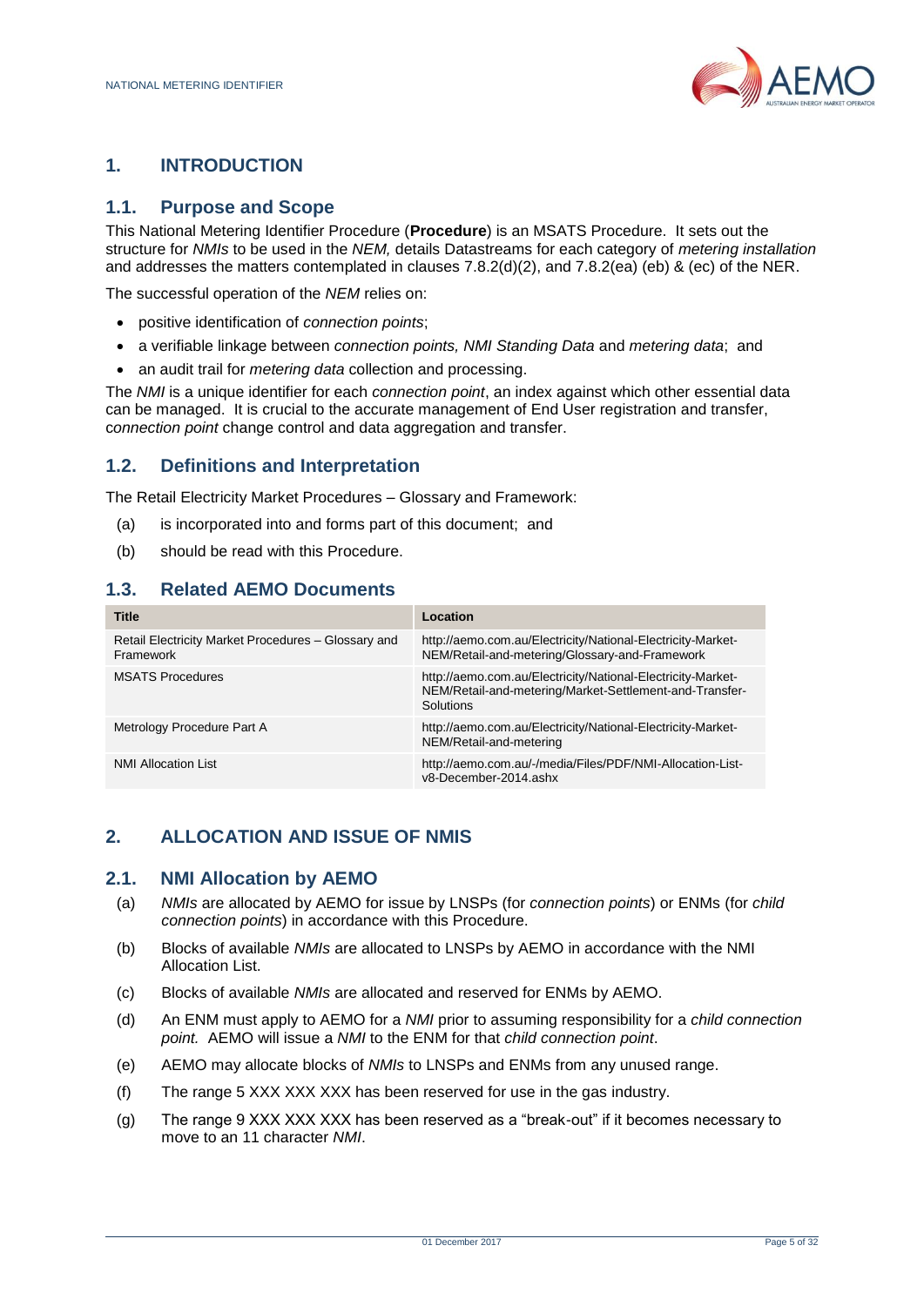

# <span id="page-4-0"></span>**1. INTRODUCTION**

# <span id="page-4-1"></span>**1.1. Purpose and Scope**

This National Metering Identifier Procedure (**Procedure**) is an MSATS Procedure. It sets out the structure for *NMIs* to be used in the *NEM,* details Datastreams for each category of *metering installation* and addresses the matters contemplated in clauses 7.8.2(d)(2), and 7.8.2(ea) (eb) & (ec) of the NER.

The successful operation of the *NEM* relies on:

- positive identification of *connection points*;
- a verifiable linkage between *connection points, NMI Standing Data* and *metering data*; and
- an audit trail for *metering data* collection and processing.

The *NMI* is a unique identifier for each *connection point*, an index against which other essential data can be managed. It is crucial to the accurate management of End User registration and transfer, c*onnection point* change control and data aggregation and transfer.

# <span id="page-4-2"></span>**1.2. Definitions and Interpretation**

The Retail Electricity Market Procedures – Glossary and Framework:

- (a) is incorporated into and forms part of this document; and
- (b) should be read with this Procedure.

## <span id="page-4-3"></span>**1.3. Related AEMO Documents**

| <b>Title</b>                                                     | Location                                                                                                                            |
|------------------------------------------------------------------|-------------------------------------------------------------------------------------------------------------------------------------|
| Retail Electricity Market Procedures - Glossary and<br>Framework | http://aemo.com.au/Electricity/National-Electricity-Market-<br>NEM/Retail-and-metering/Glossary-and-Framework                       |
| <b>MSATS Procedures</b>                                          | http://aemo.com.au/Electricity/National-Electricity-Market-<br>NEM/Retail-and-metering/Market-Settlement-and-Transfer-<br>Solutions |
| Metrology Procedure Part A                                       | http://aemo.com.au/Electricity/National-Electricity-Market-<br>NEM/Retail-and-metering                                              |
| NMI Allocation List                                              | http://aemo.com.au/-/media/Files/PDF/NMI-Allocation-List-<br>v8-December-2014.ashx                                                  |

# <span id="page-4-4"></span>**2. ALLOCATION AND ISSUE OF NMIS**

#### <span id="page-4-5"></span>**2.1. NMI Allocation by AEMO**

- (a) *NMIs* are allocated by AEMO for issue by LNSPs (for *connection points*) or ENMs (for *child connection points*) in accordance with this Procedure.
- (b) Blocks of available *NMIs* are allocated to LNSPs by AEMO in accordance with the NMI Allocation List.
- (c) Blocks of available *NMIs* are allocated and reserved for ENMs by AEMO.
- (d) An ENM must apply to AEMO for a *NMI* prior to assuming responsibility for a *child connection point.* AEMO will issue a *NMI* to the ENM for that *child connection point*.
- (e) AEMO may allocate blocks of *NMIs* to LNSPs and ENMs from any unused range.
- (f) The range 5 XXX XXX XXX has been reserved for use in the gas industry.
- (g) The range 9 XXX XXX XXX has been reserved as a "break-out" if it becomes necessary to move to an 11 character *NMI*.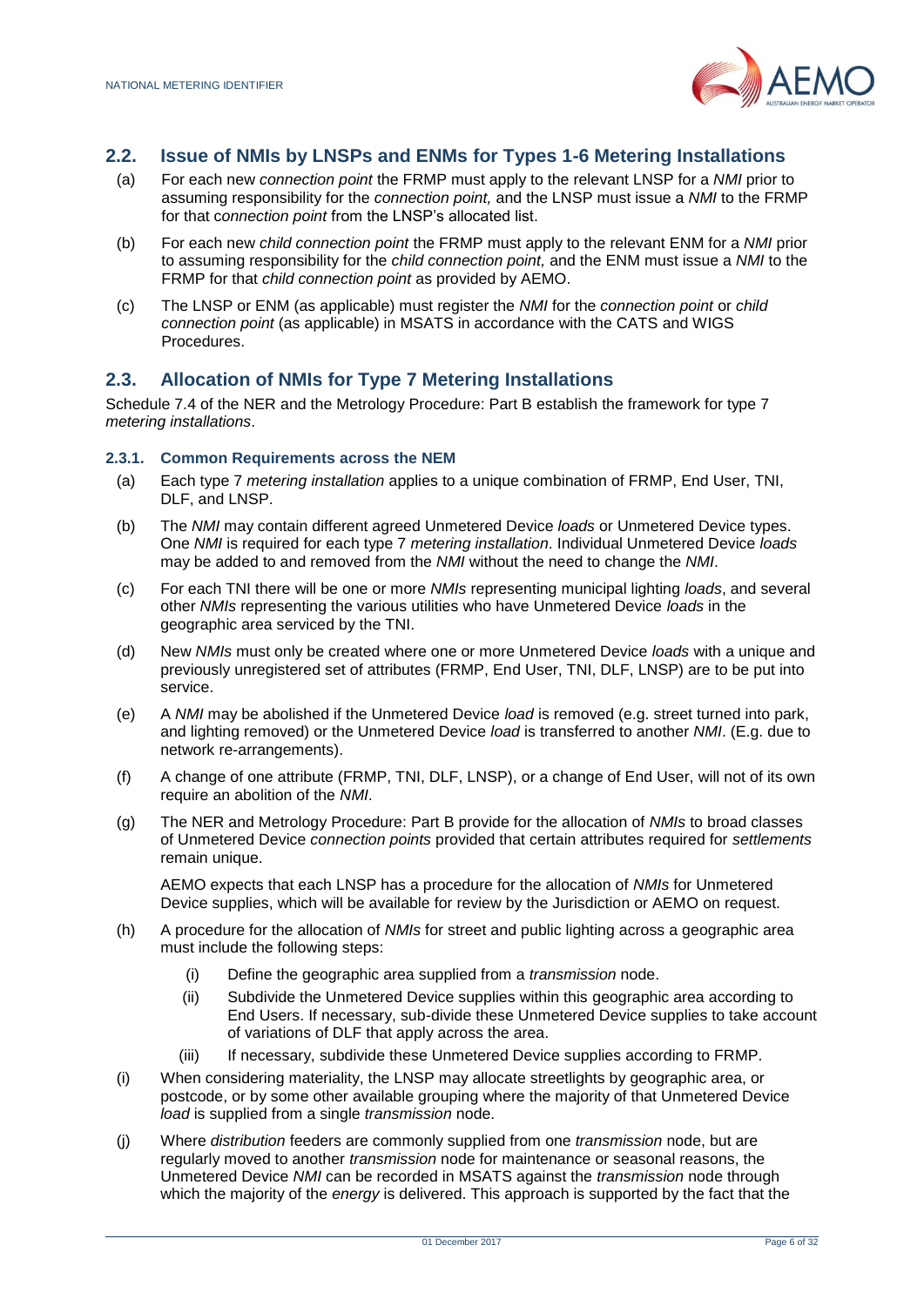

## <span id="page-5-0"></span>**2.2. Issue of NMIs by LNSPs and ENMs for Types 1-6 Metering Installations**

- (a) For each new *connection point* the FRMP must apply to the relevant LNSP for a *NMI* prior to assuming responsibility for the *connection point,* and the LNSP must issue a *NMI* to the FRMP for that c*onnection point* from the LNSP's allocated list.
- (b) For each new *child connection point* the FRMP must apply to the relevant ENM for a *NMI* prior to assuming responsibility for the *child connection point,* and the ENM must issue a *NMI* to the FRMP for that *child connection point* as provided by AEMO.
- (c) The LNSP or ENM (as applicable) must register the *NMI* for the *connection point* or *child connection point* (as applicable) in MSATS in accordance with the CATS and WIGS **Procedures**

## <span id="page-5-1"></span>**2.3. Allocation of NMIs for Type 7 Metering Installations**

Schedule 7.4 of the NER and the Metrology Procedure: Part B establish the framework for type 7 *metering installations*.

#### **2.3.1. Common Requirements across the NEM**

- (a) Each type 7 *metering installation* applies to a unique combination of FRMP, End User, TNI, DLF, and LNSP.
- (b) The *NMI* may contain different agreed Unmetered Device *loads* or Unmetered Device types. One *NMI* is required for each type 7 *metering installation*. Individual Unmetered Device *loads* may be added to and removed from the *NMI* without the need to change the *NMI*.
- (c) For each TNI there will be one or more *NMIs* representing municipal lighting *loads*, and several other *NMIs* representing the various utilities who have Unmetered Device *loads* in the geographic area serviced by the TNI.
- (d) New *NMIs* must only be created where one or more Unmetered Device *loads* with a unique and previously unregistered set of attributes (FRMP, End User, TNI, DLF, LNSP) are to be put into service.
- (e) A *NMI* may be abolished if the Unmetered Device *load* is removed (e.g. street turned into park, and lighting removed) or the Unmetered Device *load* is transferred to another *NMI*. (E.g. due to network re-arrangements).
- (f) A change of one attribute (FRMP, TNI, DLF, LNSP), or a change of End User, will not of its own require an abolition of the *NMI*.
- (g) The NER and Metrology Procedure: Part B provide for the allocation of *NMIs* to broad classes of Unmetered Device *connection points* provided that certain attributes required for *settlements* remain unique.

AEMO expects that each LNSP has a procedure for the allocation of *NMIs* for Unmetered Device supplies, which will be available for review by the Jurisdiction or AEMO on request.

- (h) A procedure for the allocation of *NMIs* for street and public lighting across a geographic area must include the following steps:
	- (i) Define the geographic area supplied from a *transmission* node.
	- (ii) Subdivide the Unmetered Device supplies within this geographic area according to End Users. If necessary, sub-divide these Unmetered Device supplies to take account of variations of DLF that apply across the area.
	- (iii) If necessary, subdivide these Unmetered Device supplies according to FRMP.
- (i) When considering materiality, the LNSP may allocate streetlights by geographic area, or postcode, or by some other available grouping where the majority of that Unmetered Device *load* is supplied from a single *transmission* node.
- (j) Where *distribution* feeders are commonly supplied from one *transmission* node, but are regularly moved to another *transmission* node for maintenance or seasonal reasons, the Unmetered Device *NMI* can be recorded in MSATS against the *transmission* node through which the majority of the *energy* is delivered. This approach is supported by the fact that the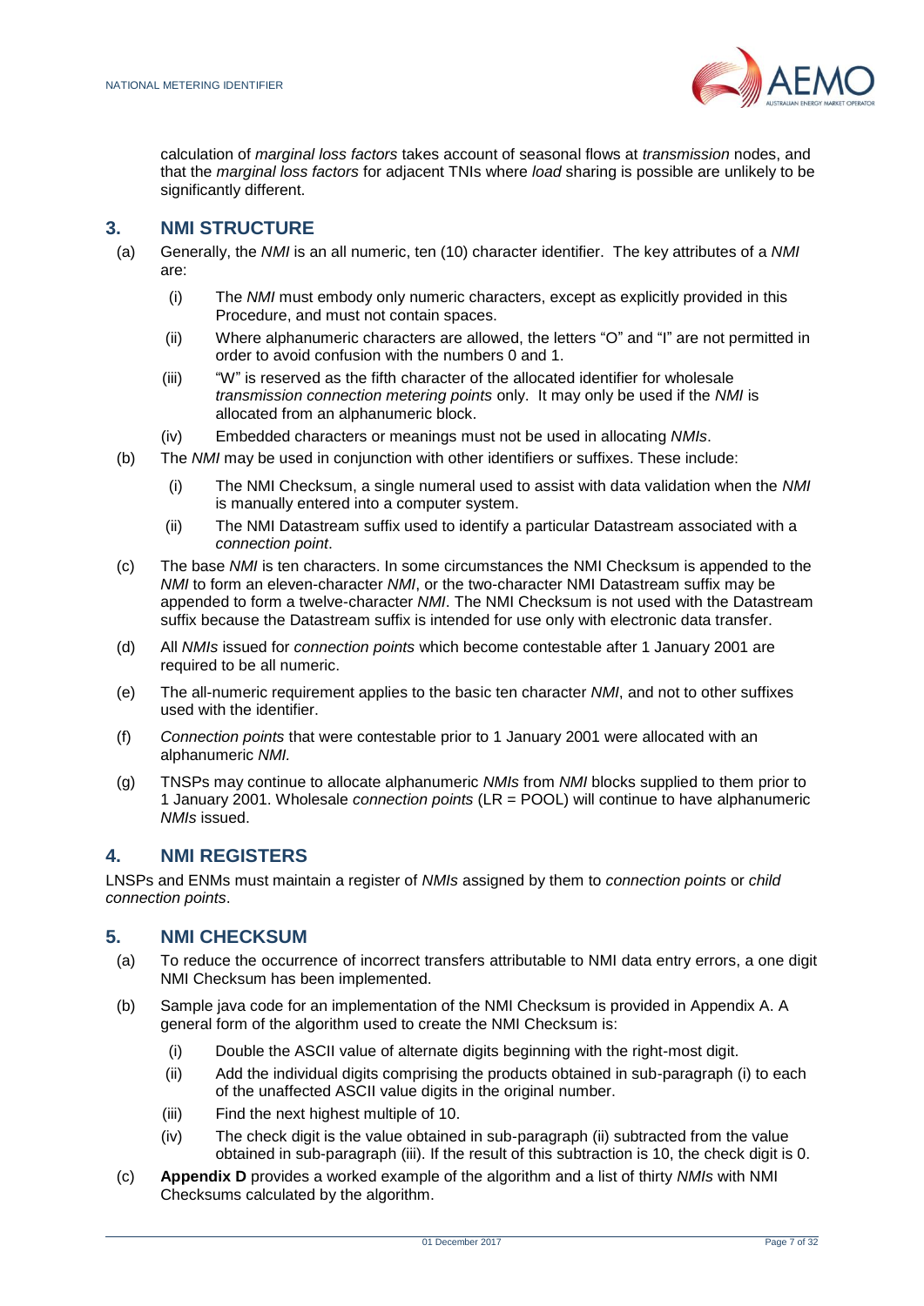

calculation of *marginal loss factors* takes account of seasonal flows at *transmission* nodes, and that the *marginal loss factors* for adjacent TNIs where *load* sharing is possible are unlikely to be significantly different.

## <span id="page-6-0"></span>**3. NMI STRUCTURE**

- (a) Generally, the *NMI* is an all numeric, ten (10) character identifier. The key attributes of a *NMI* are:
	- (i) The *NMI* must embody only numeric characters, except as explicitly provided in this Procedure, and must not contain spaces.
	- (ii) Where alphanumeric characters are allowed, the letters "O" and "I" are not permitted in order to avoid confusion with the numbers 0 and 1.
	- (iii) "W" is reserved as the fifth character of the allocated identifier for wholesale *transmission connection metering points* only. It may only be used if the *NMI* is allocated from an alphanumeric block.
	- (iv) Embedded characters or meanings must not be used in allocating *NMIs*.
- (b) The *NMI* may be used in conjunction with other identifiers or suffixes. These include:
	- (i) The NMI Checksum, a single numeral used to assist with data validation when the *NMI* is manually entered into a computer system.
	- (ii) The NMI Datastream suffix used to identify a particular Datastream associated with a *connection point*.
- (c) The base *NMI* is ten characters. In some circumstances the NMI Checksum is appended to the *NMI* to form an eleven-character *NMI*, or the two-character NMI Datastream suffix may be appended to form a twelve-character *NMI*. The NMI Checksum is not used with the Datastream suffix because the Datastream suffix is intended for use only with electronic data transfer.
- (d) All *NMIs* issued for *connection points* which become contestable after 1 January 2001 are required to be all numeric.
- (e) The all-numeric requirement applies to the basic ten character *NMI*, and not to other suffixes used with the identifier.
- (f) *Connection points* that were contestable prior to 1 January 2001 were allocated with an alphanumeric *NMI.*
- (g) TNSPs may continue to allocate alphanumeric *NMIs* from *NMI* blocks supplied to them prior to 1 January 2001. Wholesale *connection points* (LR = POOL) will continue to have alphanumeric *NMIs* issued.

# <span id="page-6-1"></span>**4. NMI REGISTERS**

LNSPs and ENMs must maintain a register of *NMIs* assigned by them to *connection points* or *child connection points*.

### <span id="page-6-2"></span>**5. NMI CHECKSUM**

- (a) To reduce the occurrence of incorrect transfers attributable to NMI data entry errors, a one digit NMI Checksum has been implemented.
- (b) Sample java code for an implementation of the NMI Checksum is provided in Appendix A. A general form of the algorithm used to create the NMI Checksum is:
	- (i) Double the ASCII value of alternate digits beginning with the right-most digit.
	- (ii) Add the individual digits comprising the products obtained in sub-paragraph (i) to each of the unaffected ASCII value digits in the original number.
	- (iii) Find the next highest multiple of 10.
	- (iv) The check digit is the value obtained in sub-paragraph (ii) subtracted from the value obtained in sub-paragraph (iii). If the result of this subtraction is 10, the check digit is 0.
- (c) **Appendix D** provides a worked example of the algorithm and a list of thirty *NMIs* with NMI Checksums calculated by the algorithm.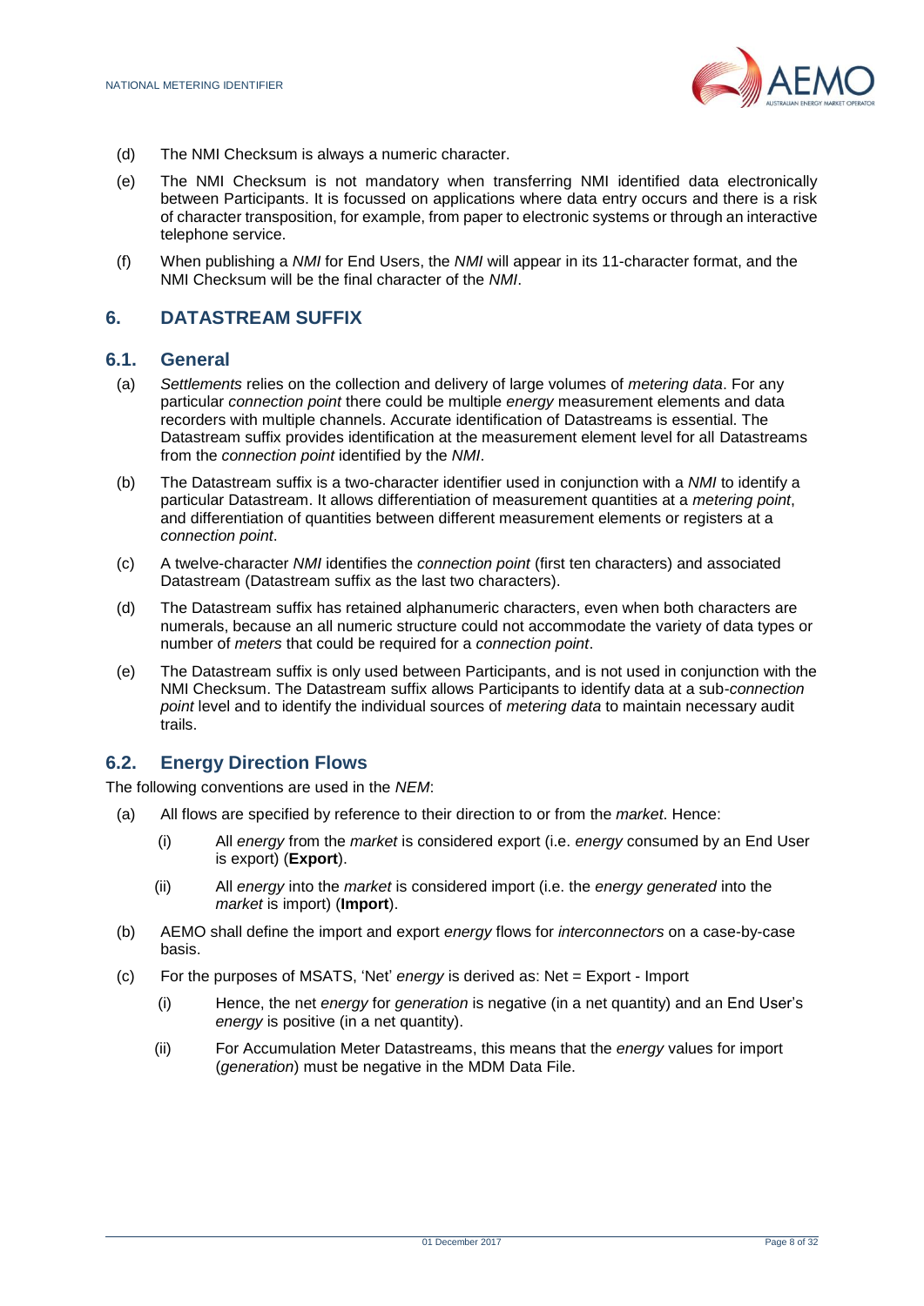

- (d) The NMI Checksum is always a numeric character.
- (e) The NMI Checksum is not mandatory when transferring NMI identified data electronically between Participants. It is focussed on applications where data entry occurs and there is a risk of character transposition, for example, from paper to electronic systems or through an interactive telephone service.
- (f) When publishing a *NMI* for End Users, the *NMI* will appear in its 11-character format, and the NMI Checksum will be the final character of the *NMI*.

# <span id="page-7-0"></span>**6. DATASTREAM SUFFIX**

#### <span id="page-7-1"></span>**6.1. General**

- (a) *Settlements* relies on the collection and delivery of large volumes of *metering data*. For any particular *connection point* there could be multiple *energy* measurement elements and data recorders with multiple channels. Accurate identification of Datastreams is essential. The Datastream suffix provides identification at the measurement element level for all Datastreams from the *connection point* identified by the *NMI*.
- (b) The Datastream suffix is a two-character identifier used in conjunction with a *NMI* to identify a particular Datastream. It allows differentiation of measurement quantities at a *metering point*, and differentiation of quantities between different measurement elements or registers at a *connection point*.
- (c) A twelve-character *NMI* identifies the *connection point* (first ten characters) and associated Datastream (Datastream suffix as the last two characters).
- (d) The Datastream suffix has retained alphanumeric characters, even when both characters are numerals, because an all numeric structure could not accommodate the variety of data types or number of *meters* that could be required for a *connection point*.
- (e) The Datastream suffix is only used between Participants, and is not used in conjunction with the NMI Checksum. The Datastream suffix allows Participants to identify data at a sub-*connection point* level and to identify the individual sources of *metering data* to maintain necessary audit trails.

#### <span id="page-7-2"></span>**6.2. Energy Direction Flows**

The following conventions are used in the *NEM*:

- (a) All flows are specified by reference to their direction to or from the *market*. Hence:
	- (i) All *energy* from the *market* is considered export (i.e. *energy* consumed by an End User is export) (**Export**).
	- (ii) All *energy* into the *market* is considered import (i.e. the *energy generated* into the *market* is import) (**Import**).
- (b) AEMO shall define the import and export *energy* flows for *interconnectors* on a case-by-case basis.
- (c) For the purposes of MSATS, 'Net' *energy* is derived as: Net = Export Import
	- (i) Hence, the net *energy* for *generation* is negative (in a net quantity) and an End User's *energy* is positive (in a net quantity).
	- (ii) For Accumulation Meter Datastreams, this means that the *energy* values for import (*generation*) must be negative in the MDM Data File.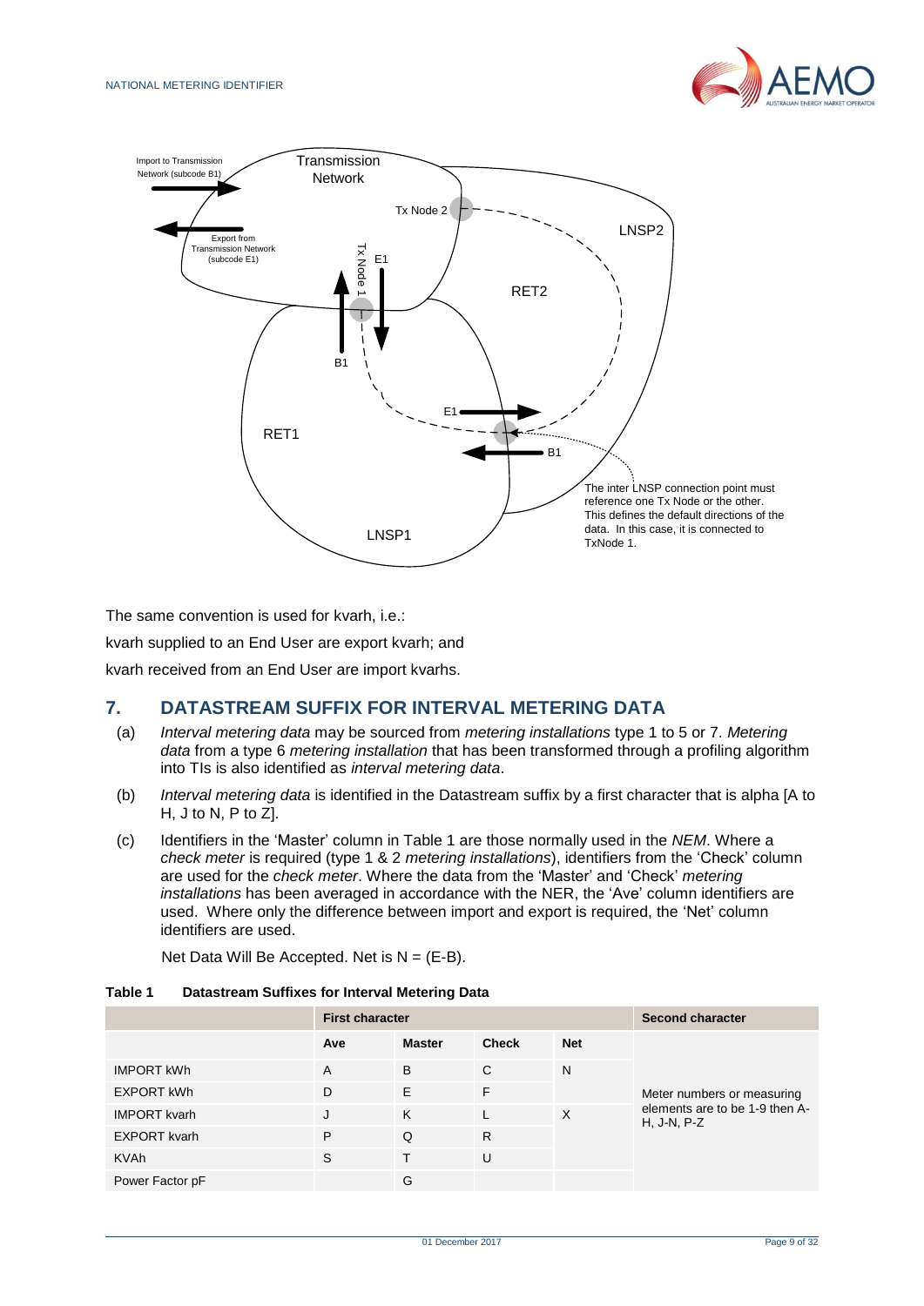



The same convention is used for kvarh, i.e.:

kvarh supplied to an End User are export kvarh; and

<span id="page-8-0"></span>kvarh received from an End User are import kvarhs.

# **7. DATASTREAM SUFFIX FOR INTERVAL METERING DATA**

- (a) *Interval metering data* may be sourced from *metering installations* type 1 to 5 or 7. *Metering data* from a type 6 *metering installation* that has been transformed through a profiling algorithm into TIs is also identified as *interval metering data*.
- (b) *Interval metering data* is identified in the Datastream suffix by a first character that is alpha [A to H, J to N, P to Z].
- (c) Identifiers in the 'Master' column in Table 1 are those normally used in the *NEM*. Where a *check meter* is required (type 1 & 2 *metering installations*), identifiers from the 'Check' column are used for the *check meter*. Where the data from the 'Master' and 'Check' *metering installations* has been averaged in accordance with the NER, the 'Ave' column identifiers are used. Where only the difference between import and export is required, the 'Net' column identifiers are used.

Net Data Will Be Accepted. Net is  $N = (E-B)$ .

|                     | <b>First character</b> |               |              |            | <b>Second character</b>                                                     |  |
|---------------------|------------------------|---------------|--------------|------------|-----------------------------------------------------------------------------|--|
|                     | Ave                    | <b>Master</b> | <b>Check</b> | <b>Net</b> |                                                                             |  |
| <b>IMPORT kWh</b>   | A                      | B             | C            | N          | Meter numbers or measuring<br>elements are to be 1-9 then A-<br>H, J-N, P-Z |  |
| <b>EXPORT kWh</b>   | D                      | E             | F            |            |                                                                             |  |
| <b>IMPORT</b> kvarh | J                      | K             |              | $\times$   |                                                                             |  |
| <b>EXPORT kvarh</b> | P                      | $\Omega$      | R            |            |                                                                             |  |
| <b>KVAh</b>         | S                      | т             | U            |            |                                                                             |  |
| Power Factor pF     |                        | G             |              |            |                                                                             |  |

#### <span id="page-8-1"></span>**Table 1 Datastream Suffixes for Interval Metering Data**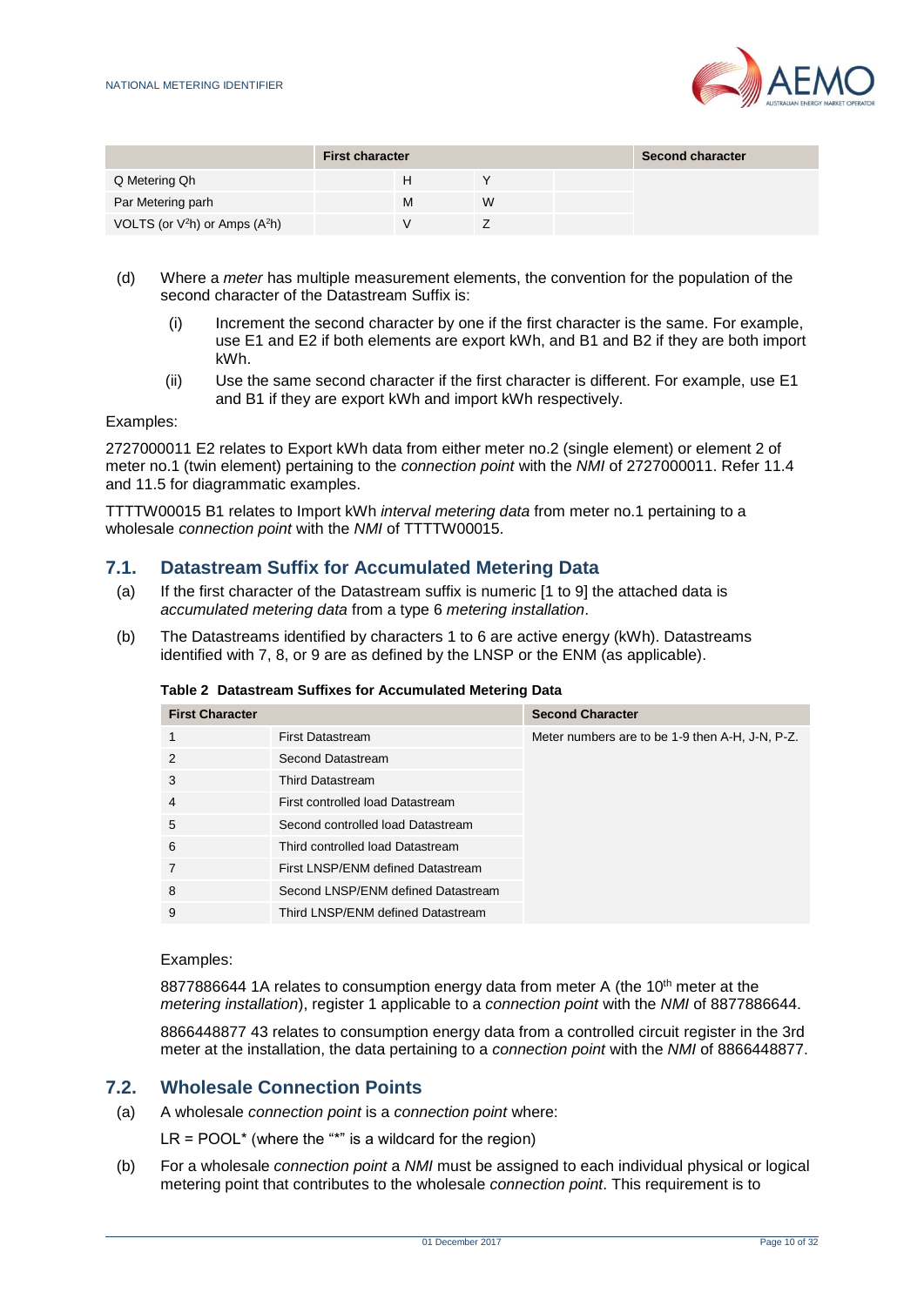

|                                     | <b>First character</b> |   |   | <b>Second character</b> |  |
|-------------------------------------|------------------------|---|---|-------------------------|--|
| Q Metering Qh                       |                        | н |   |                         |  |
| Par Metering parh                   |                        | м | W |                         |  |
| VOLTS (or $V^2h$ ) or Amps $(A^2h)$ |                        |   |   |                         |  |

- (d) Where a *meter* has multiple measurement elements, the convention for the population of the second character of the Datastream Suffix is:
	- (i) Increment the second character by one if the first character is the same. For example, use E1 and E2 if both elements are export kWh, and B1 and B2 if they are both import kWh.
	- (ii) Use the same second character if the first character is different. For example, use E1 and B1 if they are export kWh and import kWh respectively.

#### Examples:

2727000011 E2 relates to Export kWh data from either meter no.2 (single element) or element 2 of meter no.1 (twin element) pertaining to the *connection point* with the *NMI* of 2727000011. Refer 11.4 and 11.5 for diagrammatic examples.

TTTTW00015 B1 relates to Import kWh *interval metering data* from meter no.1 pertaining to a wholesale *connection point* with the *NMI* of TTTTW00015.

#### <span id="page-9-0"></span>**7.1. Datastream Suffix for Accumulated Metering Data**

- (a) If the first character of the Datastream suffix is numeric [1 to 9] the attached data is *accumulated metering data* from a type 6 *metering installation*.
- <span id="page-9-2"></span>(b) The Datastreams identified by characters 1 to 6 are active energy (kWh). Datastreams identified with 7, 8, or 9 are as defined by the LNSP or the ENM (as applicable).

| <b>First Character</b> |                                    | <b>Second Character</b>                         |
|------------------------|------------------------------------|-------------------------------------------------|
| 1                      | <b>First Datastream</b>            | Meter numbers are to be 1-9 then A-H, J-N, P-Z. |
| 2                      | Second Datastream                  |                                                 |
| 3                      | <b>Third Datastream</b>            |                                                 |
| $\overline{4}$         | First controlled load Datastream   |                                                 |
| 5                      | Second controlled load Datastream  |                                                 |
| 6                      | Third controlled load Datastream   |                                                 |
| $\overline{7}$         | First LNSP/ENM defined Datastream  |                                                 |
| 8                      | Second LNSP/ENM defined Datastream |                                                 |
| 9                      | Third LNSP/ENM defined Datastream  |                                                 |

#### **Table 2 Datastream Suffixes for Accumulated Metering Data**

#### Examples:

8877886644 1A relates to consumption energy data from meter A (the 10<sup>th</sup> meter at the *metering installation*), register 1 applicable to a *connection point* with the *NMI* of 8877886644.

8866448877 43 relates to consumption energy data from a controlled circuit register in the 3rd meter at the installation, the data pertaining to a *connection point* with the *NMI* of 8866448877.

#### <span id="page-9-1"></span>**7.2. Wholesale Connection Points**

- (a) A wholesale *connection point* is a *connection point* where:
	- $LR = POOL*$  (where the "\*" is a wildcard for the region)
- (b) For a wholesale *connection point* a *NMI* must be assigned to each individual physical or logical metering point that contributes to the wholesale *connection point*. This requirement is to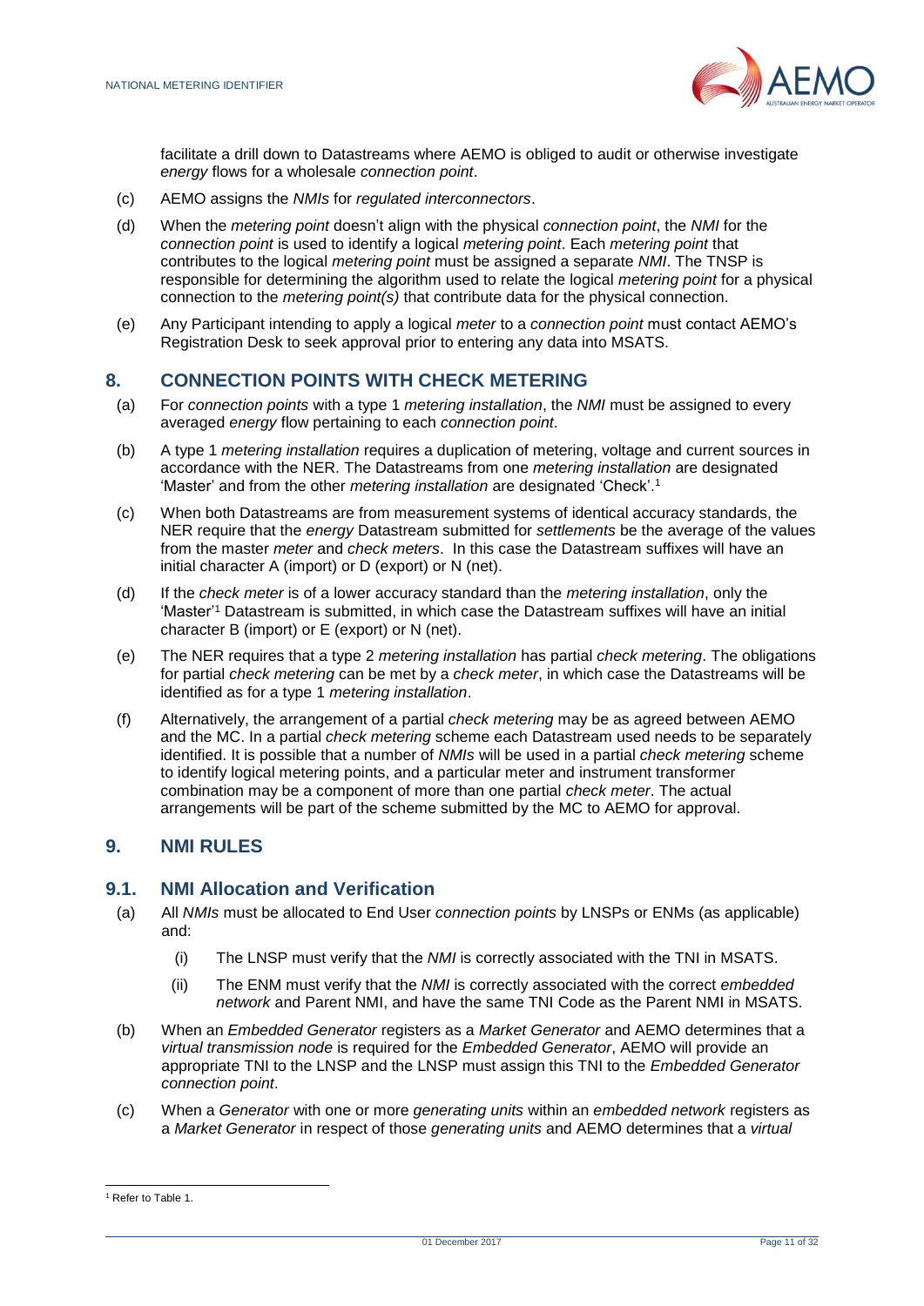

facilitate a drill down to Datastreams where AEMO is obliged to audit or otherwise investigate *energy* flows for a wholesale *connection point*.

- (c) AEMO assigns the *NMIs* for *regulated interconnectors*.
- (d) When the *metering point* doesn't align with the physical *connection point*, the *NMI* for the *connection point* is used to identify a logical *metering point*. Each *metering point* that contributes to the logical *metering point* must be assigned a separate *NMI*. The TNSP is responsible for determining the algorithm used to relate the logical *metering point* for a physical connection to the *metering point(s)* that contribute data for the physical connection.
- (e) Any Participant intending to apply a logical *meter* to a *connection point* must contact AEMO's Registration Desk to seek approval prior to entering any data into MSATS.

## <span id="page-10-0"></span>**8. CONNECTION POINTS WITH CHECK METERING**

- (a) For *connection points* with a type 1 *metering installation*, the *NMI* must be assigned to every averaged *energy* flow pertaining to each *connection point*.
- (b) A type 1 *metering installation* requires a duplication of metering, voltage and current sources in accordance with the NER. The Datastreams from one *metering installation* are designated 'Master' and from the other *metering installation* are designated 'Check'. 1
- (c) When both Datastreams are from measurement systems of identical accuracy standards, the NER require that the *energy* Datastream submitted for *settlements* be the average of the values from the master *meter* and *check meters*. In this case the Datastream suffixes will have an initial character A (import) or D (export) or N (net).
- (d) If the *check meter* is of a lower accuracy standard than the *metering installation*, only the 'Master'<sup>1</sup> Datastream is submitted, in which case the Datastream suffixes will have an initial character B (import) or E (export) or N (net).
- (e) The NER requires that a type 2 *metering installation* has partial *check metering*. The obligations for partial *check metering* can be met by a *check meter*, in which case the Datastreams will be identified as for a type 1 *metering installation*.
- (f) Alternatively, the arrangement of a partial *check metering* may be as agreed between AEMO and the MC. In a partial *check metering* scheme each Datastream used needs to be separately identified. It is possible that a number of *NMIs* will be used in a partial *check metering* scheme to identify logical metering points, and a particular meter and instrument transformer combination may be a component of more than one partial *check meter*. The actual arrangements will be part of the scheme submitted by the MC to AEMO for approval.

### <span id="page-10-1"></span>**9. NMI RULES**

### <span id="page-10-2"></span>**9.1. NMI Allocation and Verification**

- (a) All *NMIs* must be allocated to End User *connection points* by LNSPs or ENMs (as applicable) and:
	- (i) The LNSP must verify that the *NMI* is correctly associated with the TNI in MSATS.
	- (ii) The ENM must verify that the *NMI* is correctly associated with the correct *embedded network* and Parent NMI, and have the same TNI Code as the Parent NMI in MSATS.
- (b) When an *Embedded Generator* registers as a *Market Generator* and AEMO determines that a *virtual transmission node* is required for the *Embedded Generator*, AEMO will provide an appropriate TNI to the LNSP and the LNSP must assign this TNI to the *Embedded Generator connection point*.
- (c) When a *Generator* with one or more *generating units* within an *embedded network* registers as a *Market Generator* in respect of those *generating units* and AEMO determines that a *virtual*

l

<sup>1</sup> Refer to Table 1.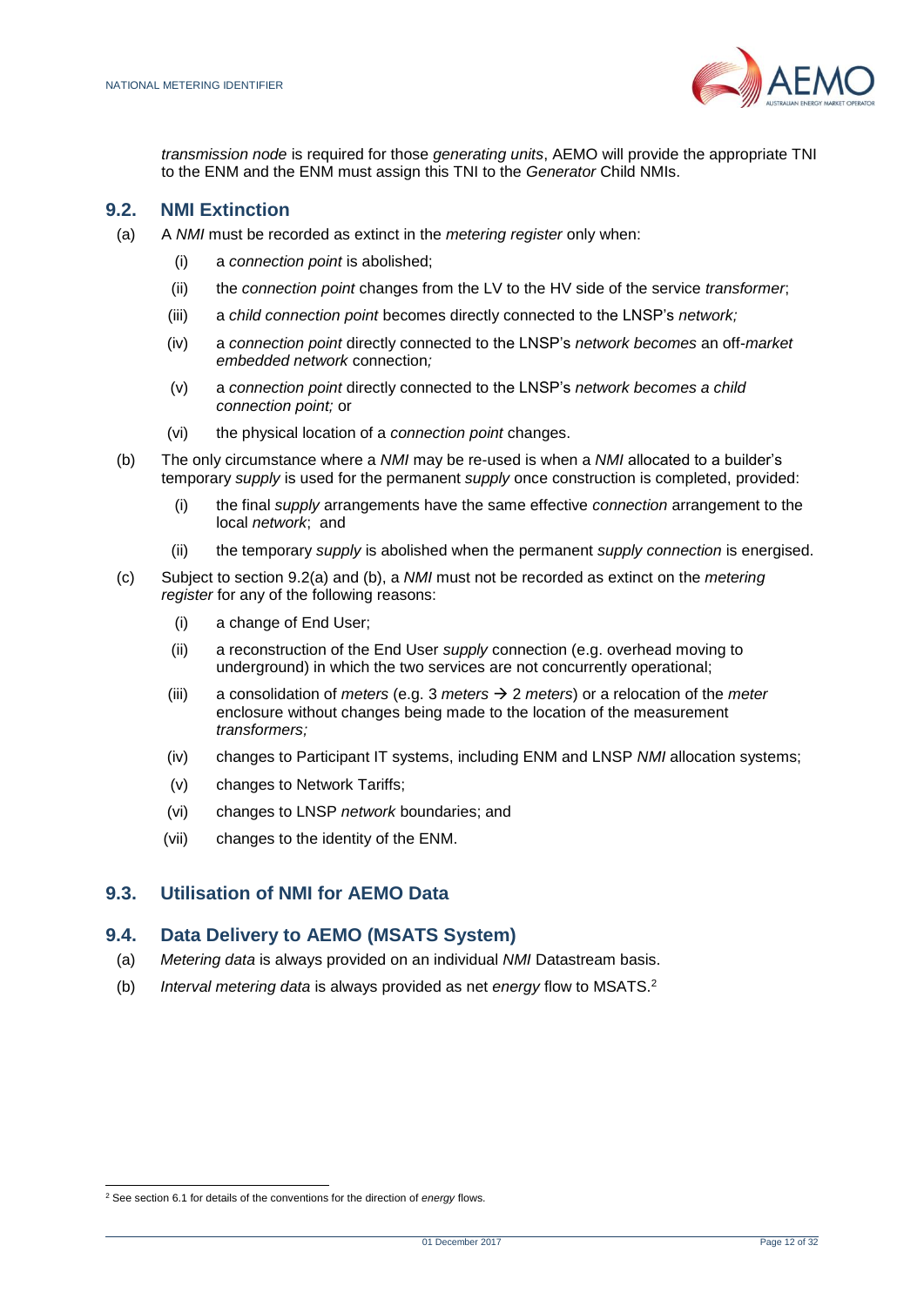

*transmission node* is required for those *generating units*, AEMO will provide the appropriate TNI to the ENM and the ENM must assign this TNI to the *Generator* Child NMIs.

## <span id="page-11-0"></span>**9.2. NMI Extinction**

- (a) A *NMI* must be recorded as extinct in the *metering register* only when:
	- (i) a *connection point* is abolished;
	- (ii) the *connection point* changes from the LV to the HV side of the service *transformer*;
	- (iii) a *child connection point* becomes directly connected to the LNSP's *network;*
	- (iv) a *connection point* directly connected to the LNSP's *network becomes* an off-*market embedded network* connection*;*
	- (v) a *connection point* directly connected to the LNSP's *network becomes a child connection point;* or
	- (vi) the physical location of a *connection point* changes.
- (b) The only circumstance where a *NMI* may be re-used is when a *NMI* allocated to a builder's temporary *supply* is used for the permanent *supply* once construction is completed, provided:
	- (i) the final *supply* arrangements have the same effective *connection* arrangement to the local *network*; and
	- (ii) the temporary *supply* is abolished when the permanent *supply connection* is energised.
- (c) Subject to section 9.2(a) and (b), a *NMI* must not be recorded as extinct on the *metering register* for any of the following reasons:
	- (i) a change of End User;
	- (ii) a reconstruction of the End User *supply* connection (e.g. overhead moving to underground) in which the two services are not concurrently operational;
	- (iii) a consolidation of *meters* (e.g. 3 *meters*  $\rightarrow$  2 *meters*) or a relocation of the *meter* enclosure without changes being made to the location of the measurement *transformers;*
	- (iv) changes to Participant IT systems, including ENM and LNSP *NMI* allocation systems;
	- (v) changes to Network Tariffs;
	- (vi) changes to LNSP *network* boundaries; and
	- (vii) changes to the identity of the ENM.

### <span id="page-11-1"></span>**9.3. Utilisation of NMI for AEMO Data**

### <span id="page-11-2"></span>**9.4. Data Delivery to AEMO (MSATS System)**

- (a) *Metering data* is always provided on an individual *NMI* Datastream basis.
- (b) *Interval metering data* is always provided as net *energy* flow to MSATS.<sup>2</sup>

l

<sup>2</sup> See section 6.1 for details of the conventions for the direction of *energy* flows.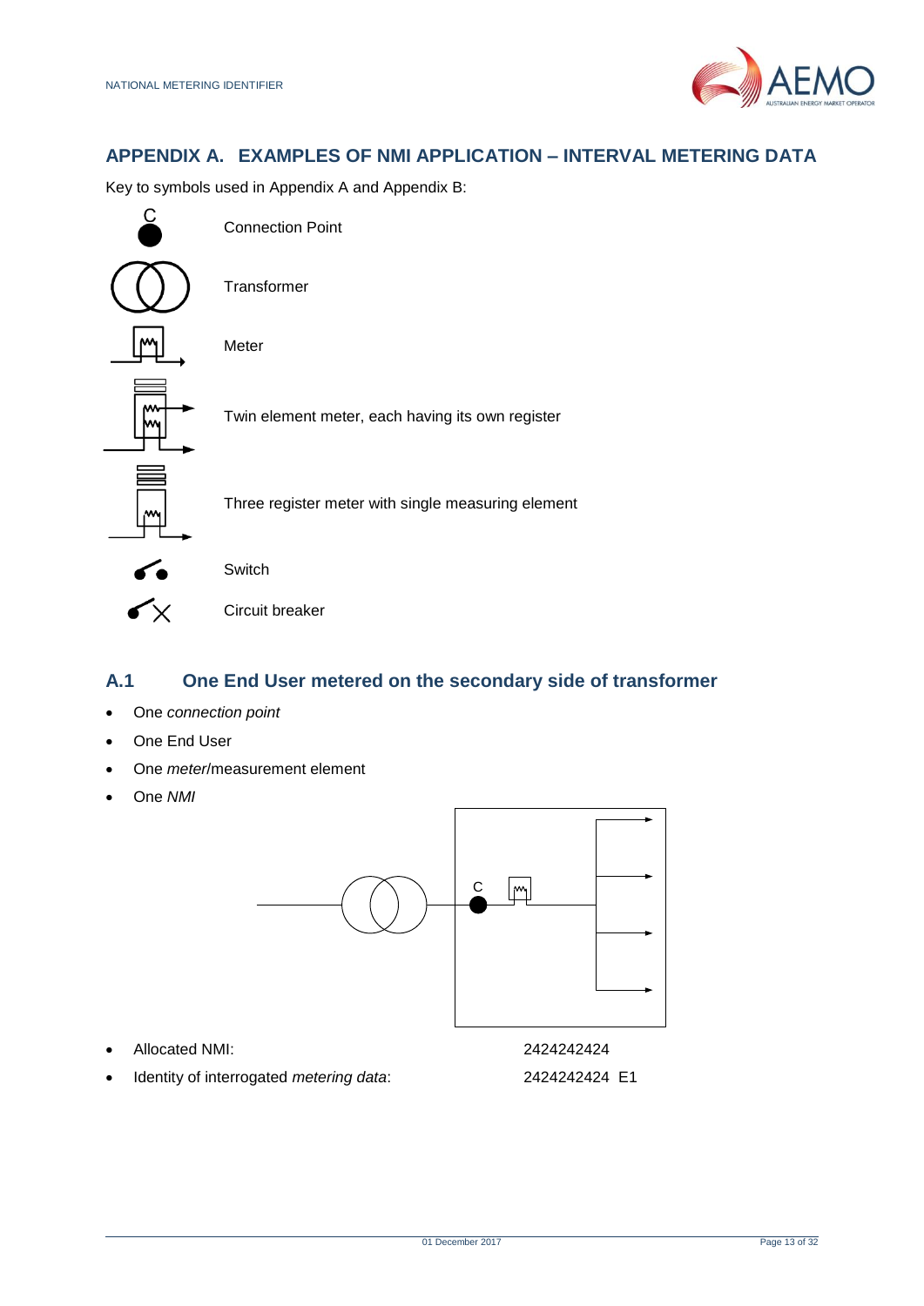

# <span id="page-12-0"></span>**APPENDIX A. EXAMPLES OF NMI APPLICATION – INTERVAL METERING DATA**

Key to symbols used in Appendix A and Appendix B:



Circuit breaker

# <span id="page-12-1"></span>**A.1 One End User metered on the secondary side of transformer**

- One *connection point*
- One End User
- One *meter*/measurement element
- One *NMI*



- Allocated NMI: 2424242424
- Identity of interrogated *metering data*: 2424242424 E1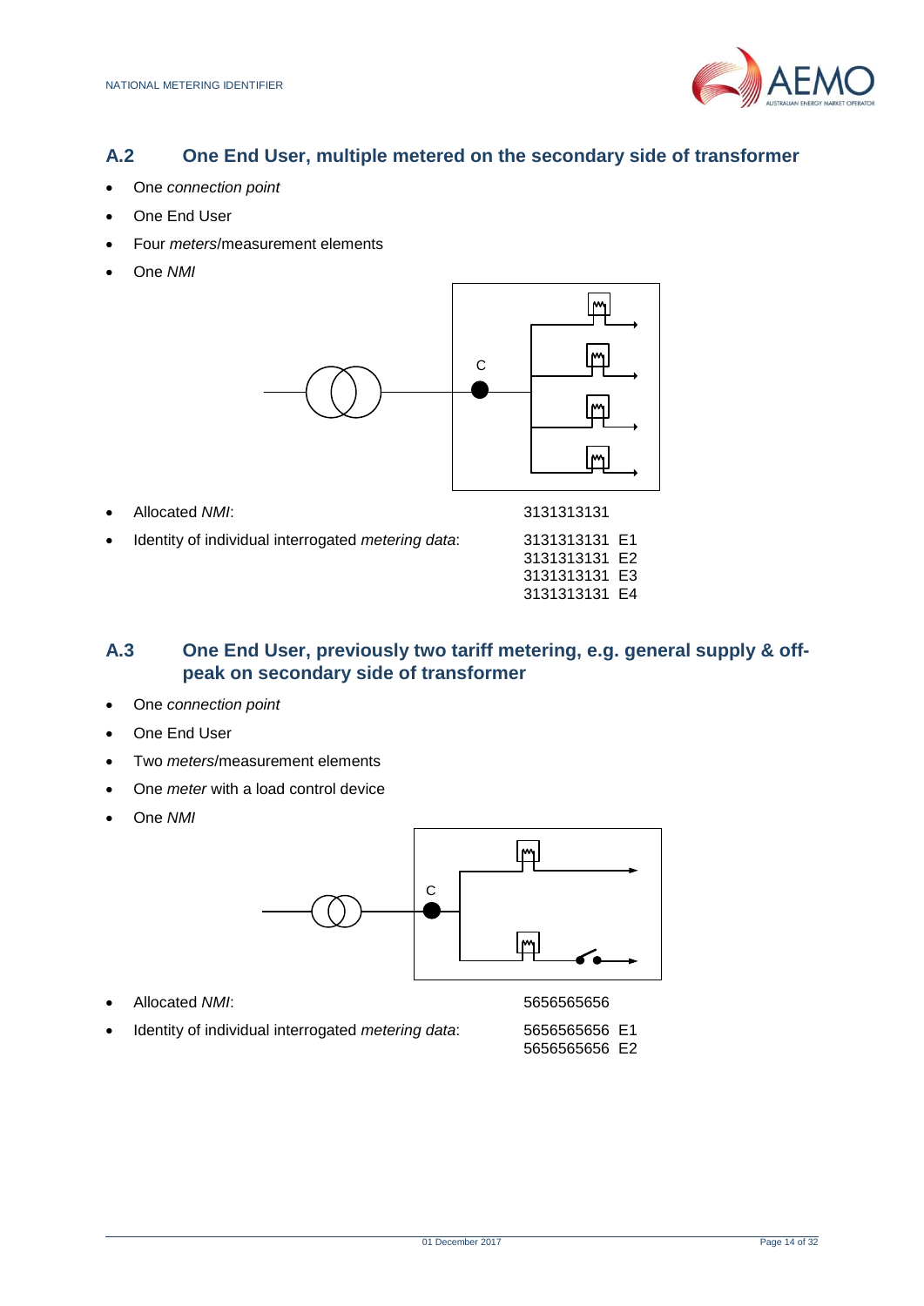

# <span id="page-13-0"></span>**A.2 One End User, multiple metered on the secondary side of transformer**

- One *connection point*
- One End User
- Four *meters*/measurement elements
- One *NMI*



- Allocated *NMI*: 3131313131
- Identity of individual interrogated *metering data*:

| .             |    |
|---------------|----|
| 3131313131 E1 |    |
| 3131313131    | F2 |
| 3131313131    | E3 |
| 3131313131    | F4 |

# <span id="page-13-1"></span>**A.3 One End User, previously two tariff metering, e.g. general supply & offpeak on secondary side of transformer**

- One *connection point*
- One End User
- Two *meters*/measurement elements
- One *meter* with a load control device
- One *NMI*



- Allocated *NMI*: 5656565656
- Identity of individual interrogated *metering data*: 5656565656 E1

5656565656 E2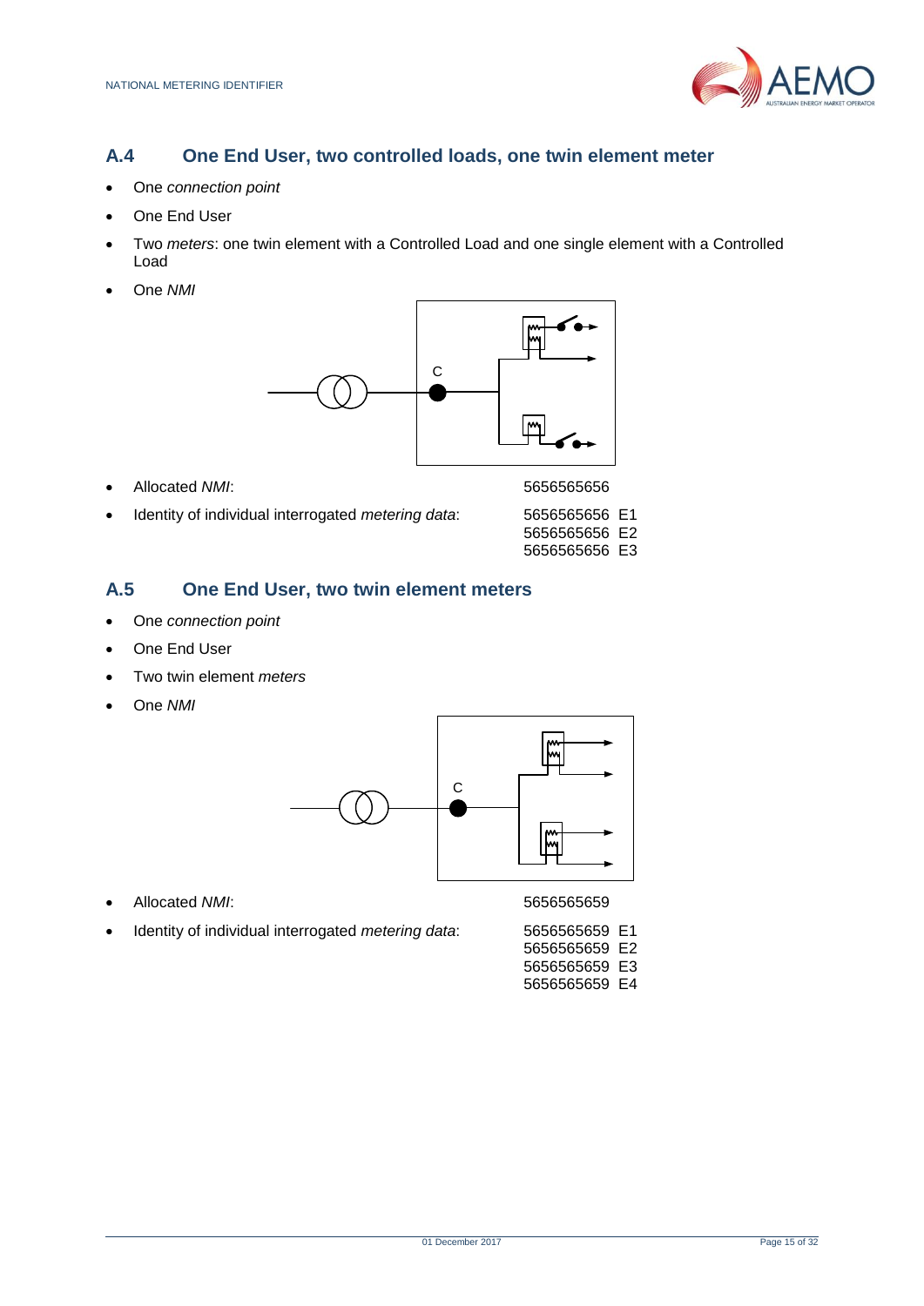

# <span id="page-14-0"></span>**A.4 One End User, two controlled loads, one twin element meter**

- One *connection point*
- One End User
- Two *meters*: one twin element with a Controlled Load and one single element with a Controlled Load
- One *NMI*



Allocated *NMI*: 5656565656

Identity of individual interrogated *metering data*: 5656565656 E1

| 5656565656 E2 |  |
|---------------|--|
| 5656565656 E3 |  |

# <span id="page-14-1"></span>**A.5 One End User, two twin element meters**

- One *connection point*
- One End User
- Two twin element *meters*
- One *NMI*



- Allocated *NMI*: 5656565659
- Identity of individual interrogated *metering data*:

| 5656565659 E1 |  |
|---------------|--|
| 5656565659 E2 |  |
| 5656565659 E3 |  |
| 5656565659 E4 |  |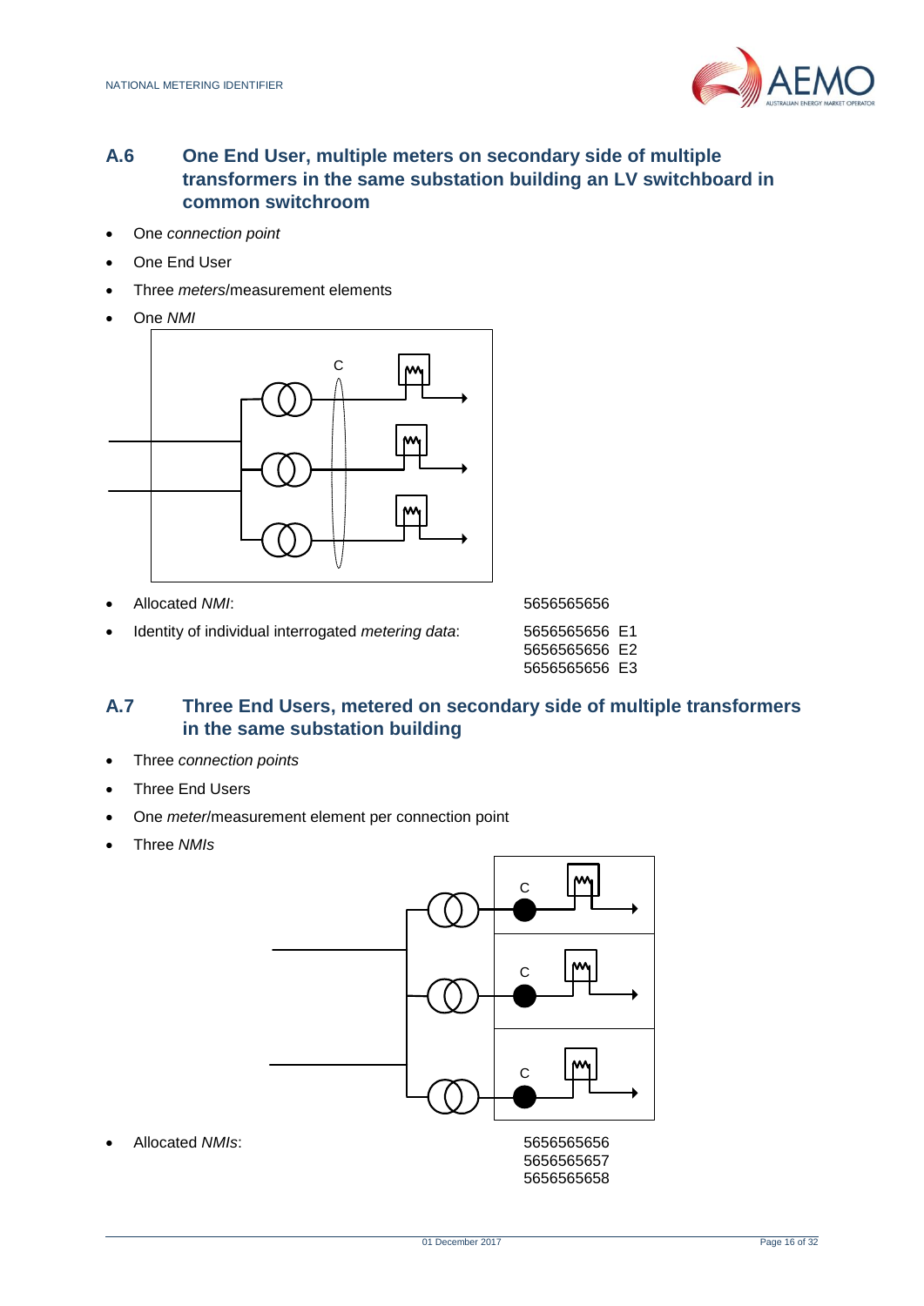

# <span id="page-15-0"></span>**A.6 One End User, multiple meters on secondary side of multiple transformers in the same substation building an LV switchboard in common switchroom**

- One *connection point*
- One End User
- Three *meters*/measurement elements
- One *NMI*



Allocated *NMI*: 5656565656

Identity of individual interrogated *metering data*: 5656565656 E1

5656565656 E2 5656565656 E3

# <span id="page-15-1"></span>**A.7 Three End Users, metered on secondary side of multiple transformers in the same substation building**

- Three *connection points*
- Three End Users
- One *meter*/measurement element per connection point
- Three *NMIs*

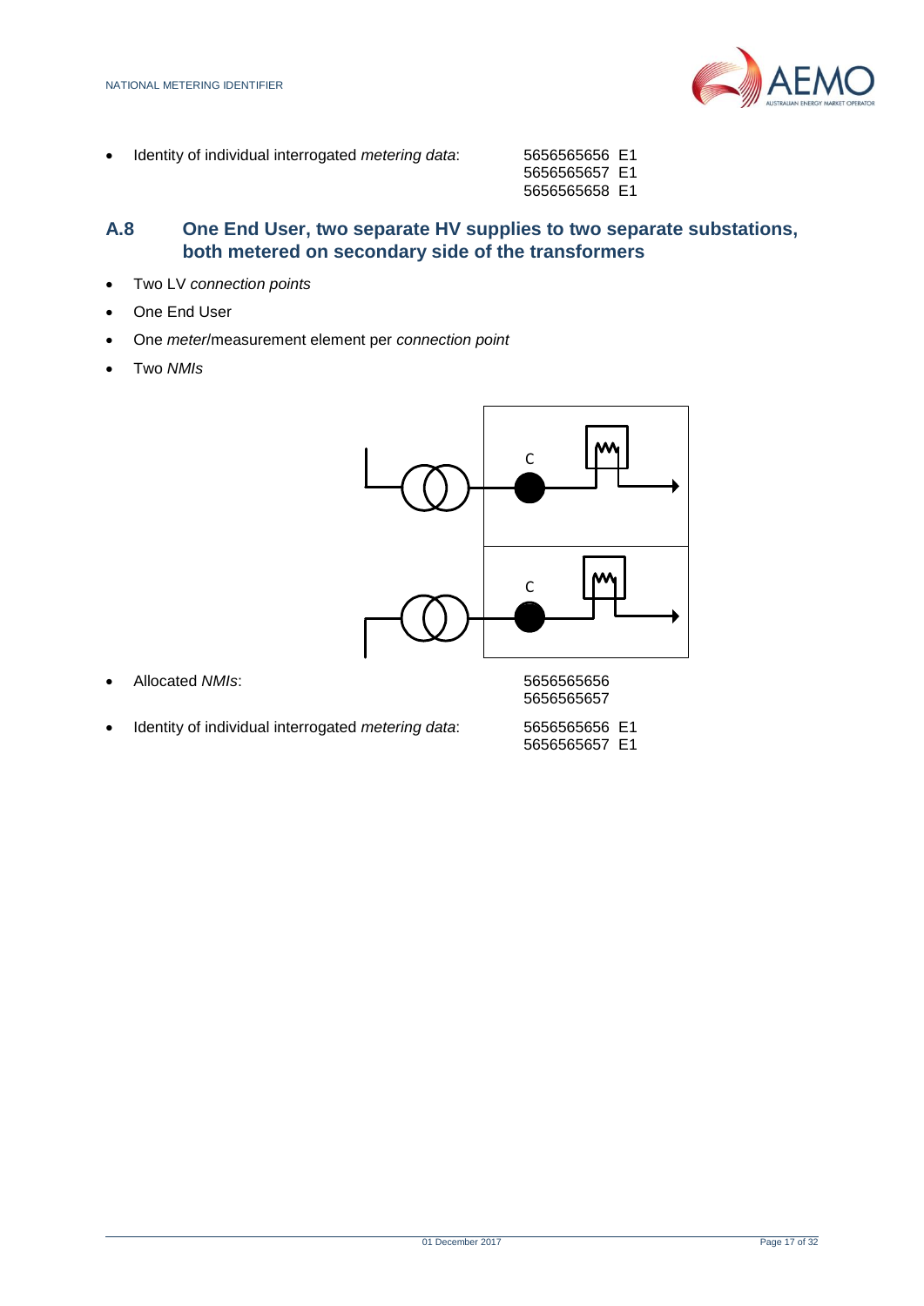

Identity of individual interrogated *metering data*: 5656565656 E1

5656565657 E1 5656565658 E1

# <span id="page-16-0"></span>**A.8 One End User, two separate HV supplies to two separate substations, both metered on secondary side of the transformers**

- Two LV *connection points*
- One End User
- One *meter*/measurement element per *connection point*
- Two *NMIs*



Allocated *NMIs*: 5656565656

5656565657

Identity of individual interrogated *metering data*: 5656565656 E1

5656565657 E1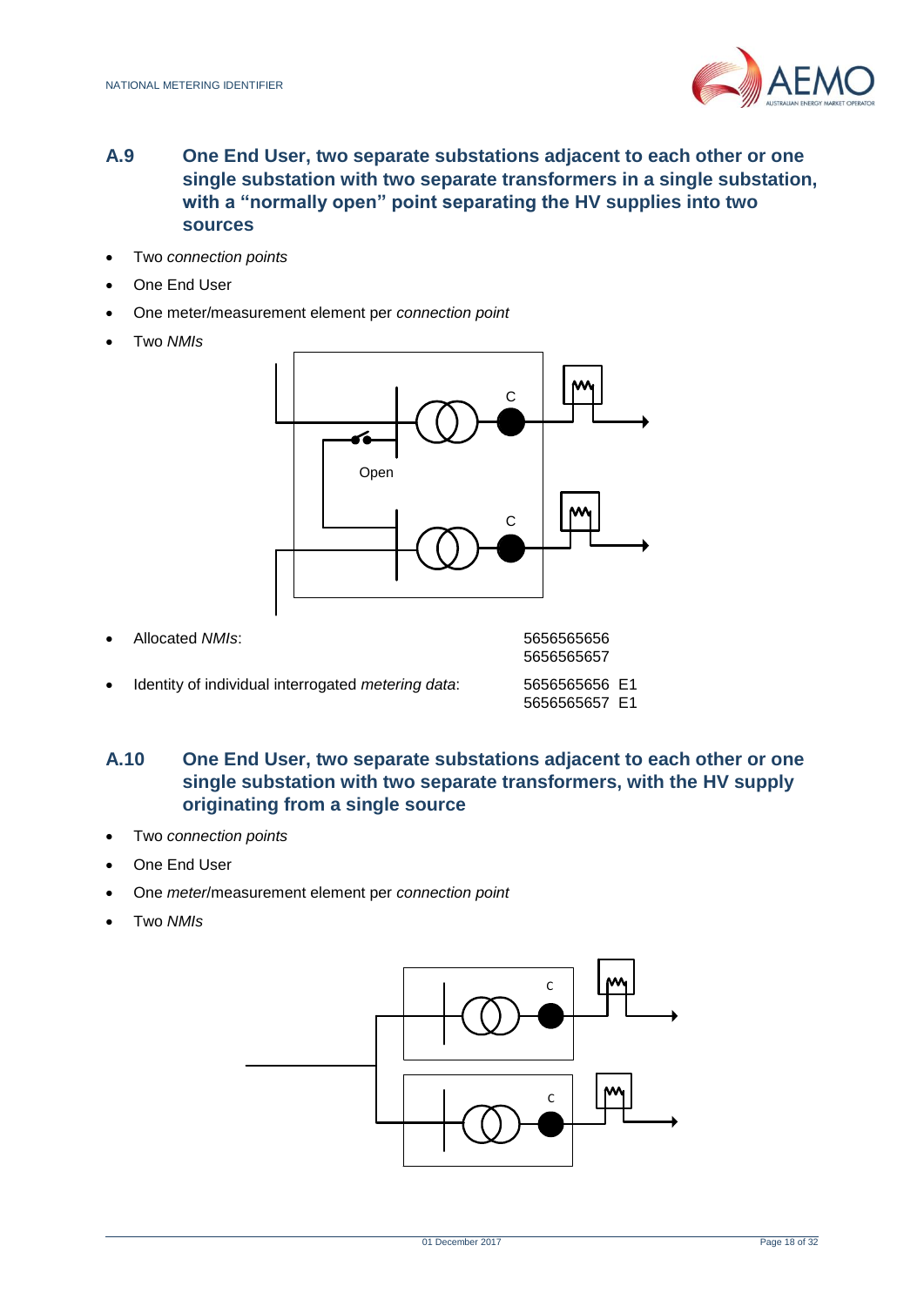

# <span id="page-17-0"></span>**A.9 One End User, two separate substations adjacent to each other or one single substation with two separate transformers in a single substation, with a "normally open" point separating the HV supplies into two sources**

- Two *connection points*
- One End User
- One meter/measurement element per *connection point*
- Two *NMIs*



- Allocated *NMIs*: 5656565656
- Identity of individual interrogated *metering data*: 5656565656 E1

5656565657

# 5656565657 E1

# <span id="page-17-1"></span>**A.10 One End User, two separate substations adjacent to each other or one single substation with two separate transformers, with the HV supply originating from a single source**

- Two *connection points*
- One End User
- One *meter*/measurement element per *connection point*
- Two *NMIs*

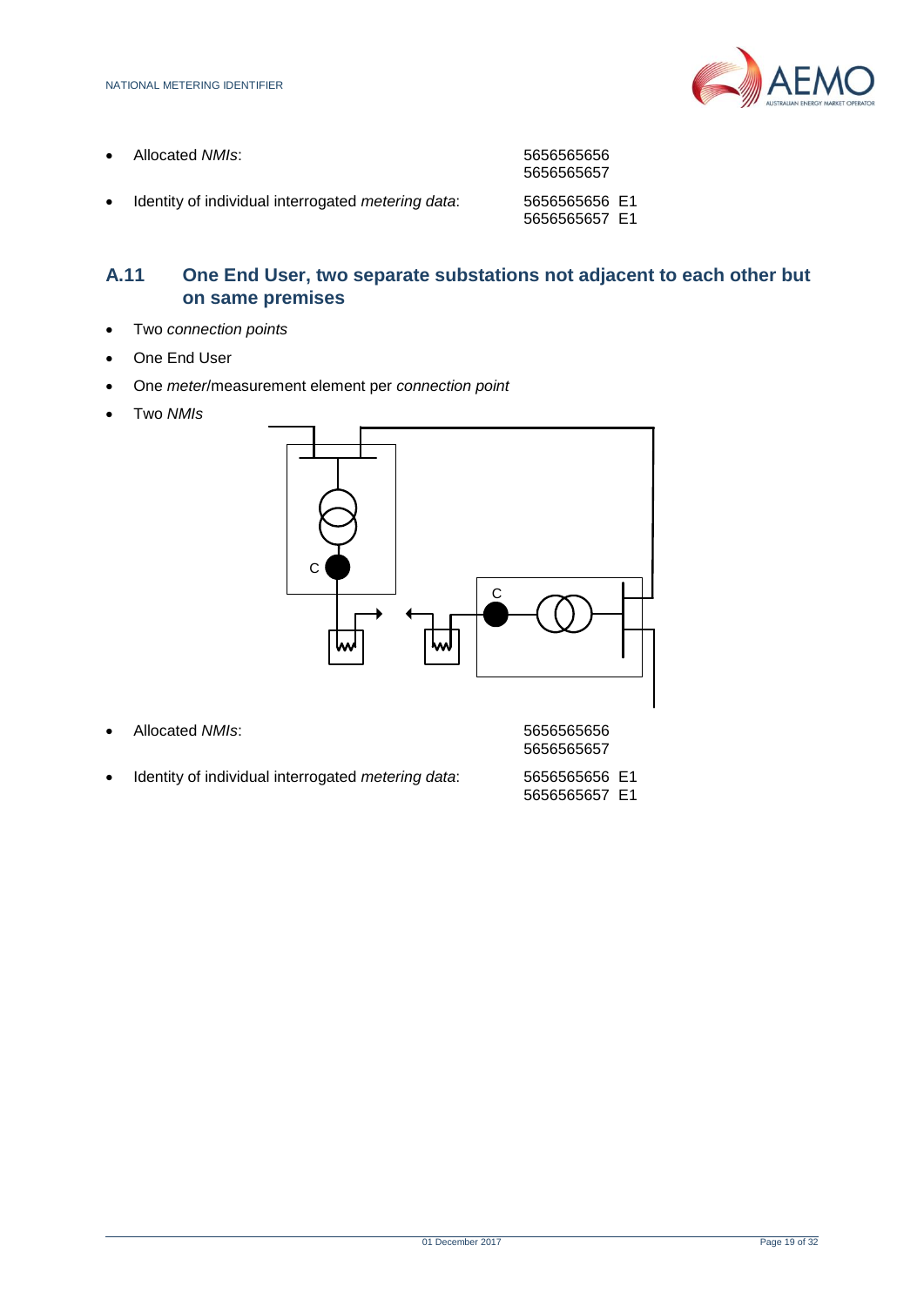

Allocated *NMIs*: 5656565656

5656565657

Identity of individual interrogated *metering data*: 5656565656 E1

5656565657 E1

# <span id="page-18-0"></span>**A.11 One End User, two separate substations not adjacent to each other but on same premises**

- Two *connection points*
- One End User
- One *meter*/measurement element per *connection point*
- Two *NMIs*



Allocated *NMIs*: 5656565656

5656565657

Identity of individual interrogated *metering data*: 5656565656 E1

5656565657 E1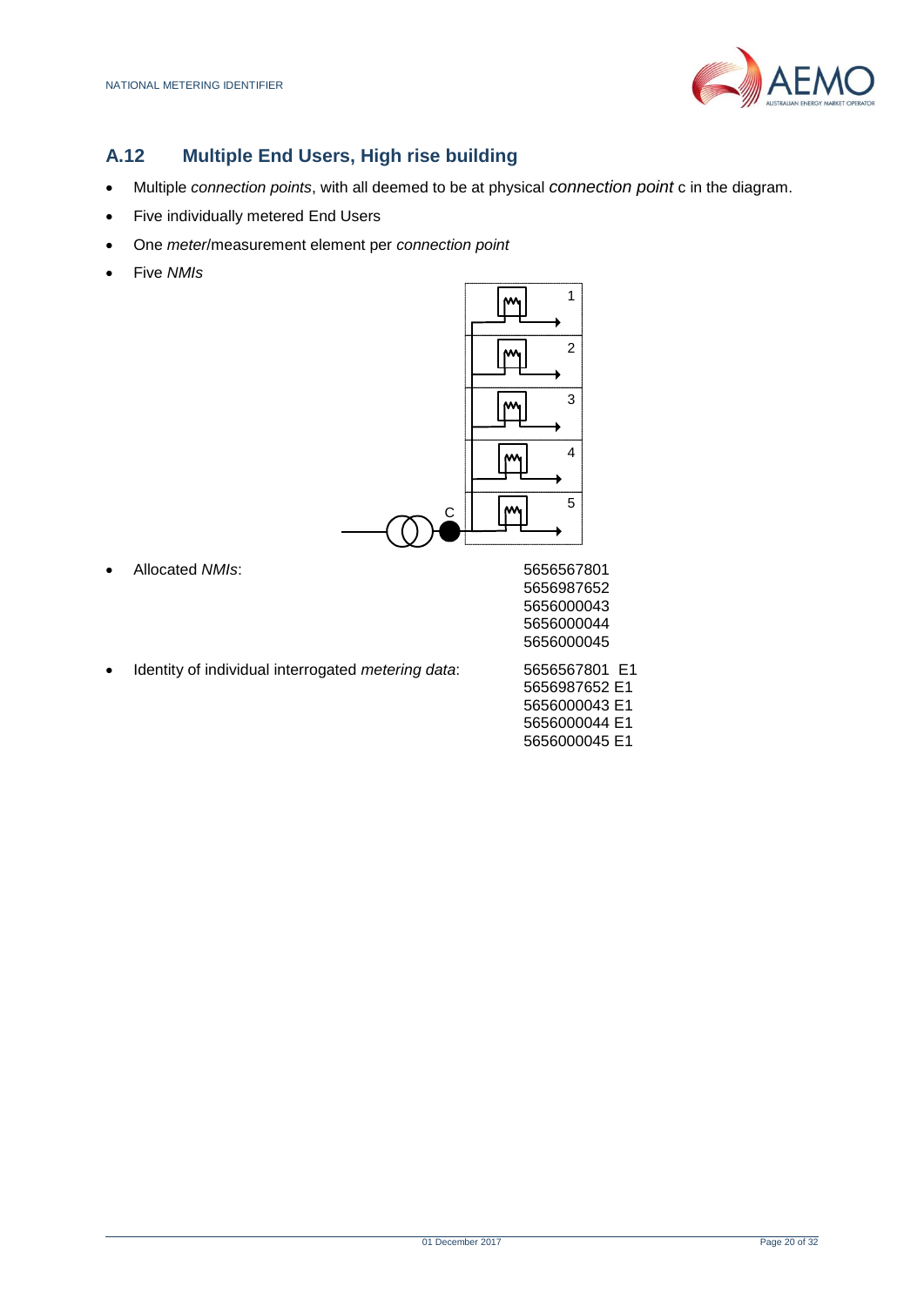

# <span id="page-19-0"></span>**A.12 Multiple End Users, High rise building**

- Multiple *connection points*, with all deemed to be at physical *connection point* c in the diagram.
- Five individually metered End Users
- One *meter*/measurement element per *connection point*
- Five *NMIs*



Allocated *NMIs*: 5656567801

|  |  | Identity of individual interrogated metering data: |
|--|--|----------------------------------------------------|
|  |  |                                                    |

5656987652 5656000043 5656000044 5656000045

 Identity of individual interrogated *metering data*: 5656567801 E1 5656987652 E1 5656000043 E1 5656000044 E1 5656000045 E1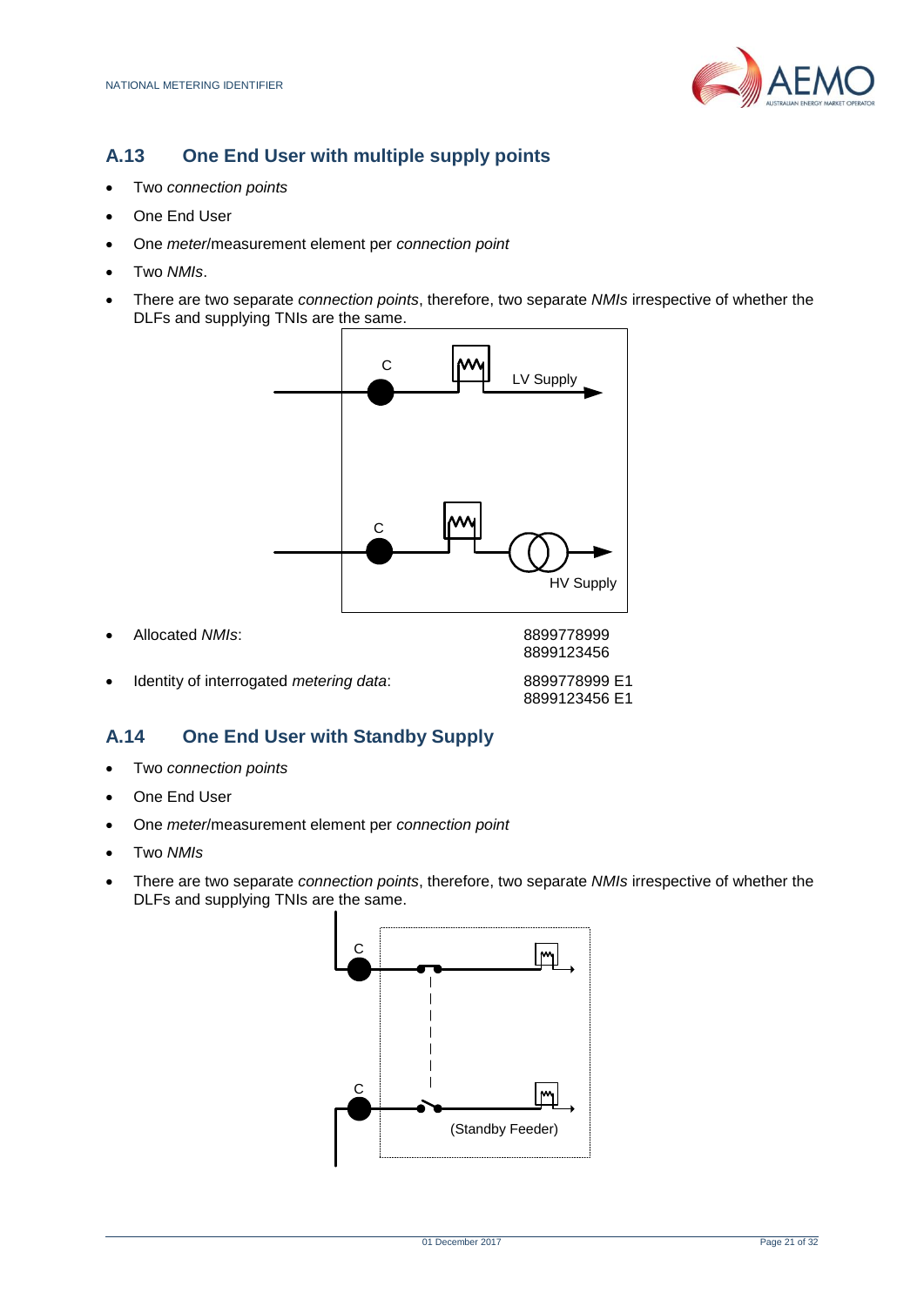

# <span id="page-20-0"></span>**A.13 One End User with multiple supply points**

- Two *connection points*
- One End User
- One *meter*/measurement element per *connection point*
- Two *NMIs*.
- There are two separate *connection points*, therefore, two separate *NMIs* irrespective of whether the DLFs and supplying TNIs are the same.



- 
- Identity of interrogated *metering data*: 8899778999 E1

8899123456

8899123456 E1

# <span id="page-20-1"></span>**A.14 One End User with Standby Supply**

- Two *connection points*
- One End User
- One *meter*/measurement element per *connection point*
- Two *NMIs*
- There are two separate *connection points*, therefore, two separate *NMIs* irrespective of whether the DLFs and supplying TNIs are the same.

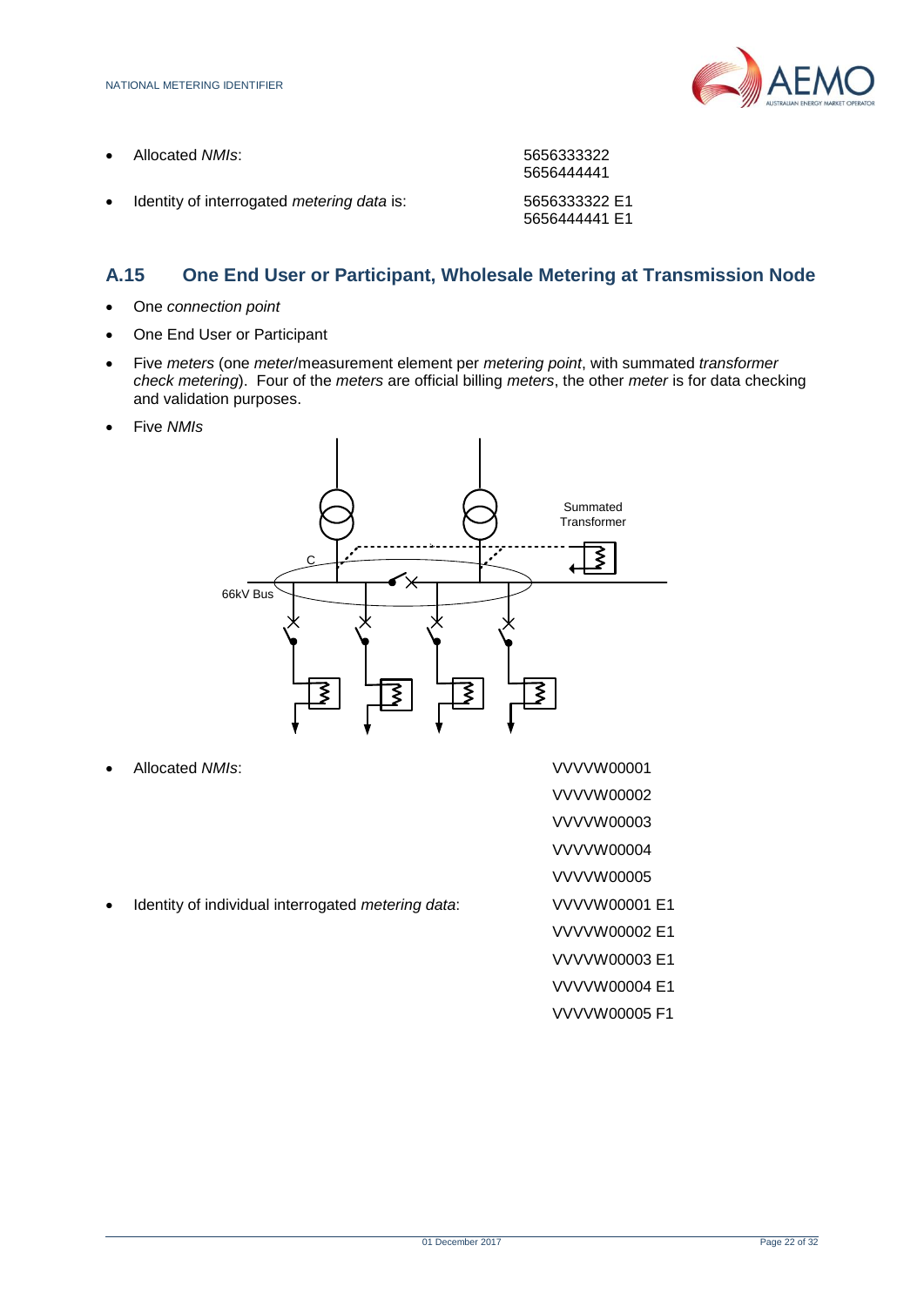

Allocated *NMIs*: 5656333322

5656444441

5656444441 E1

Identity of interrogated *metering data* is: 5656333322 E1

## <span id="page-21-0"></span>**A.15 One End User or Participant, Wholesale Metering at Transmission Node**

- One *connection point*
- One End User or Participant
- Five *meters* (one *meter*/measurement element per *metering point*, with summated *transformer check metering*). Four of the *meters* are official billing *meters*, the other *meter* is for data checking and validation purposes.
- Five *NMIs*



- Allocated *NMIs*: VVVVW00001
	-
	- VVVVW00002 VVVVW00003
	- VVVVW00004
	- VVVVW00005
	-
	- Identity of individual interrogated *metering data*: VVVVW00001 E1
		- VVVVW00002 E1
		- VVVVW00003 E1
		- VVVVW00004 E1
		- VVVVW00005 F1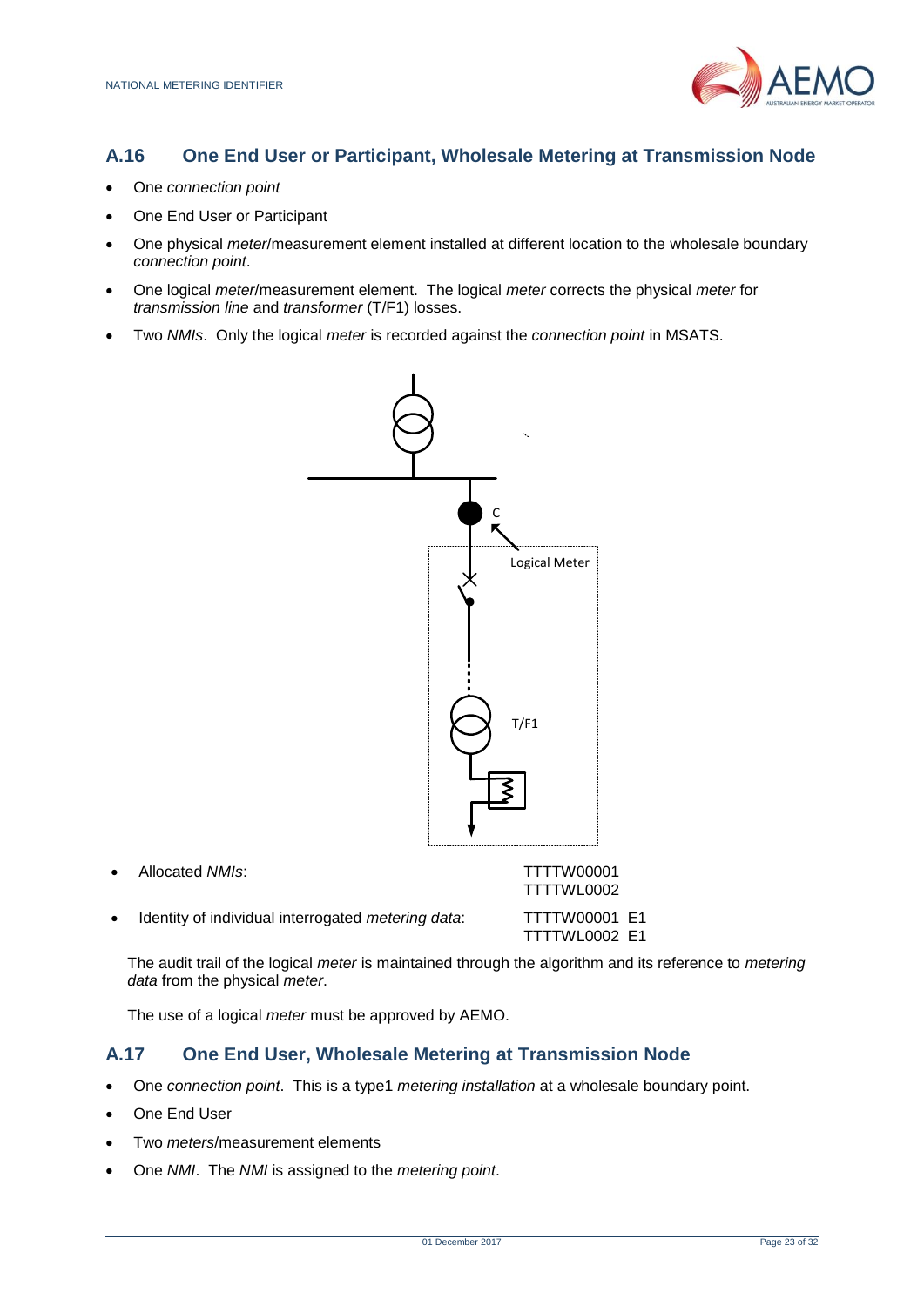

# <span id="page-22-0"></span>**A.16 One End User or Participant, Wholesale Metering at Transmission Node**

- One *connection point*
- One End User or Participant
- One physical *meter*/measurement element installed at different location to the wholesale boundary *connection point*.
- One logical *meter*/measurement element. The logical *meter* corrects the physical *meter* for *transmission line* and *transformer* (T/F1) losses.
- Two *NMIs*. Only the logical *meter* is recorded against the *connection point* in MSATS.



Allocated *NMIs*: TTTTW00001



Identity of individual interrogated *metering data*: TTTTW00001 E1

TTTTWL0002 E1

The audit trail of the logical *meter* is maintained through the algorithm and its reference to *metering data* from the physical *meter*.

The use of a logical *meter* must be approved by AEMO.

# <span id="page-22-1"></span>**A.17 One End User, Wholesale Metering at Transmission Node**

- One *connection point*. This is a type1 *metering installation* at a wholesale boundary point.
- One End User
- Two *meters*/measurement elements
- One *NMI*. The *NMI* is assigned to the *metering point*.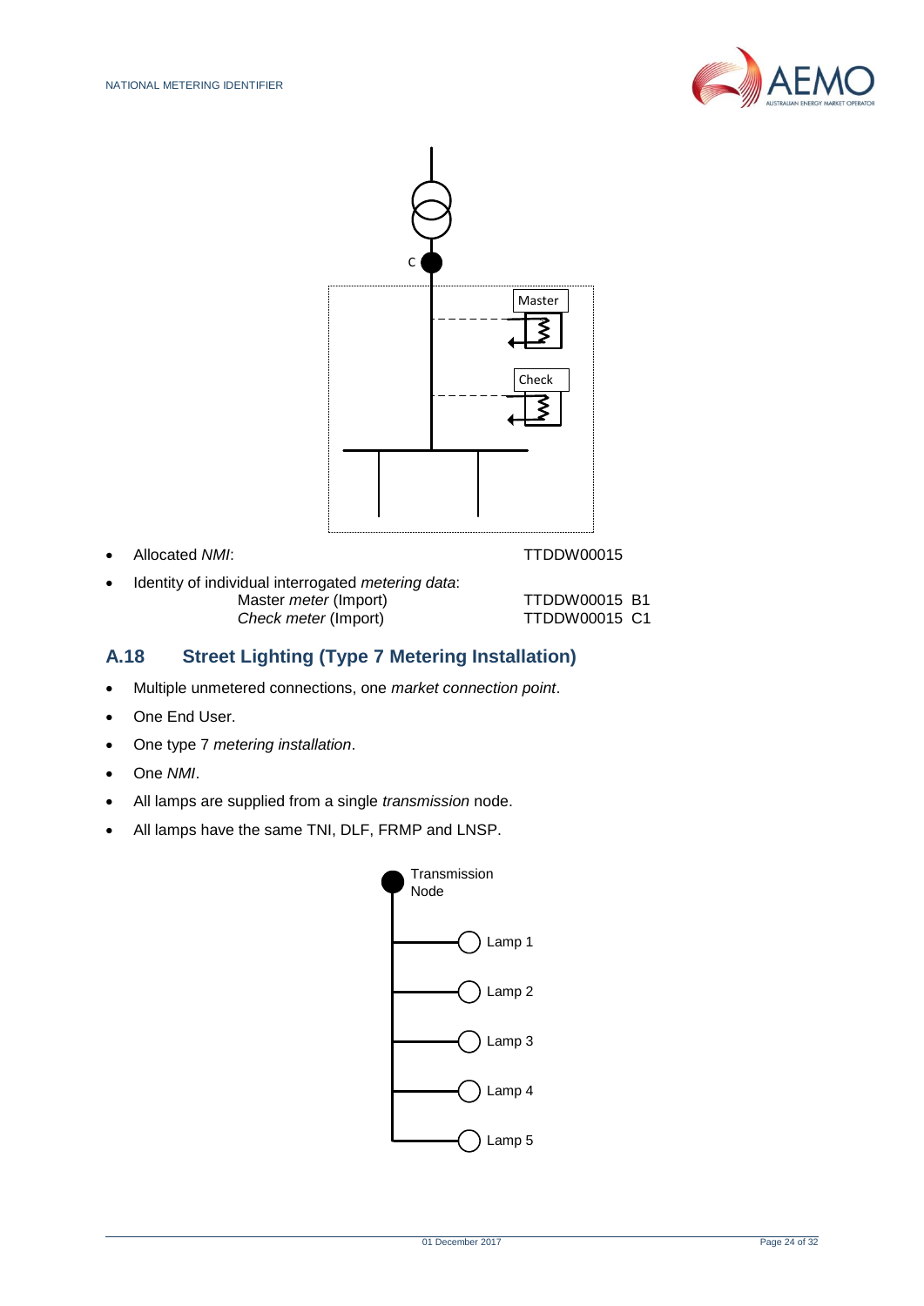



Allocated *NMI*: TTDDW00015

 Identity of individual interrogated *metering data*: Master *meter* (Import) TTDDW00015 B1 **Check meter (Import)** TTDDW00015 C1

# <span id="page-23-0"></span>**A.18 Street Lighting (Type 7 Metering Installation)**

- Multiple unmetered connections, one *market connection point*.
- One End User.
- One type 7 *metering installation*.
- One *NMI*.
- All lamps are supplied from a single *transmission* node.
- All lamps have the same TNI, DLF, FRMP and LNSP.

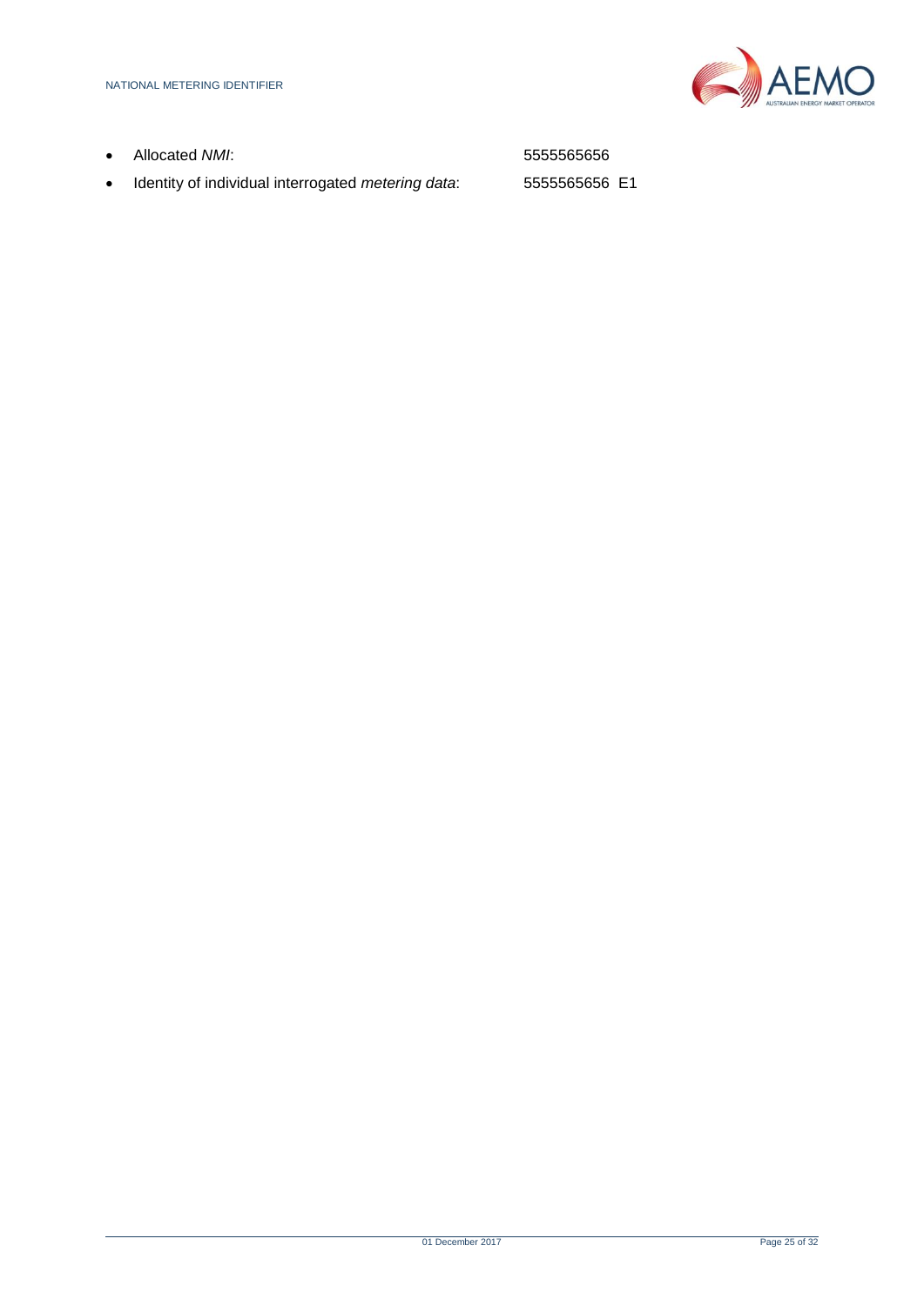

- Allocated *NMI*: 5555565656
- Identity of individual interrogated *metering data*: 5555565656 E1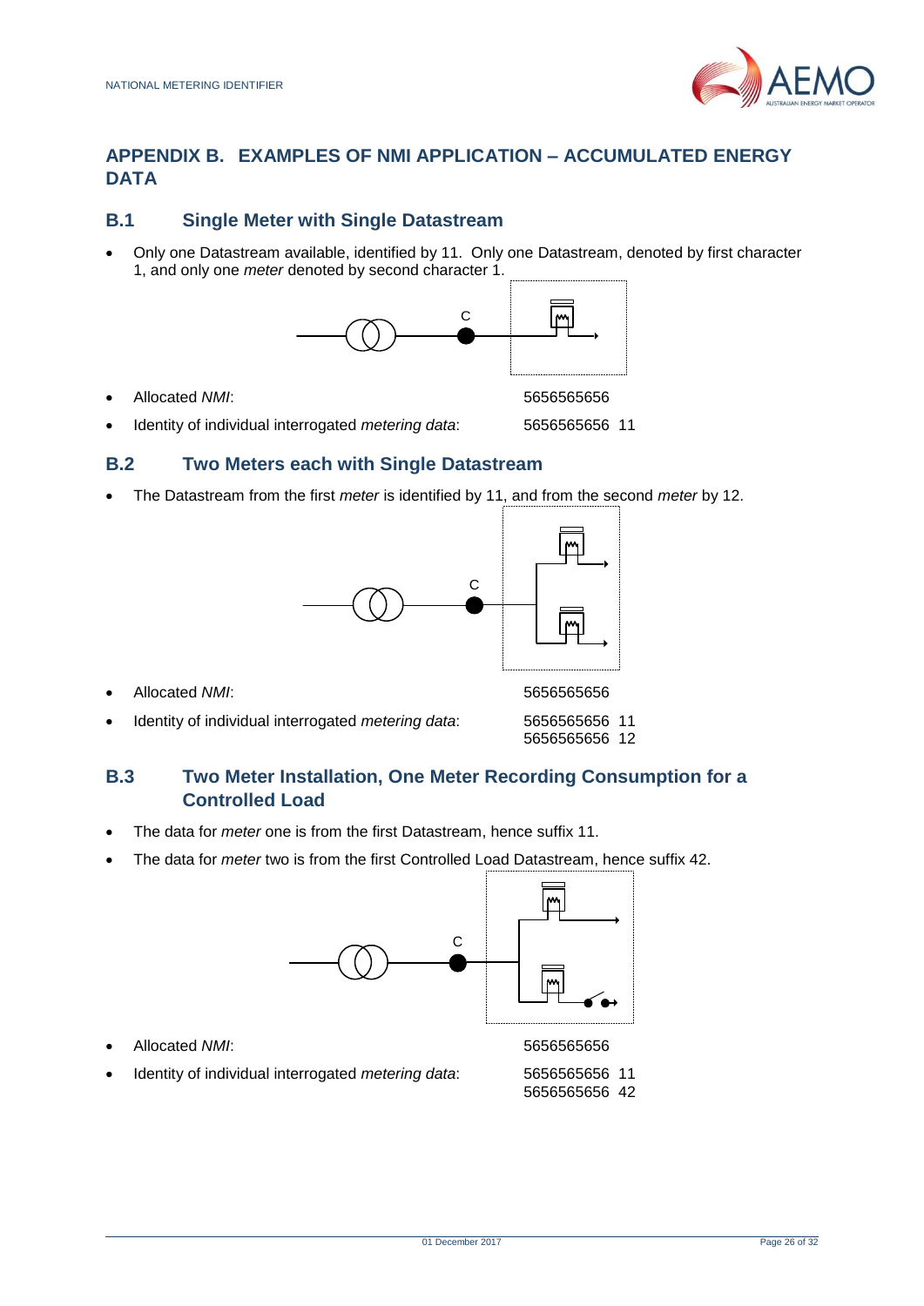

# <span id="page-25-0"></span>**APPENDIX B. EXAMPLES OF NMI APPLICATION – ACCUMULATED ENERGY DATA**

# <span id="page-25-1"></span>**B.1 Single Meter with Single Datastream**

 Only one Datastream available, identified by 11. Only one Datastream, denoted by first character 1, and only one *meter* denoted by second character 1.



Allocated *NMI*: 5656565656

Identity of individual interrogated *metering data*: 5656565656 11

# <span id="page-25-2"></span>**B.2 Two Meters each with Single Datastream**

The Datastream from the first *meter* is identified by 11, and from the second *meter* by 12.



Allocated *NMI*: 5656565656

Identity of individual interrogated *metering data*: 5656565656 11

5656565656 12

# <span id="page-25-3"></span>**B.3 Two Meter Installation, One Meter Recording Consumption for a Controlled Load**

- The data for *meter* one is from the first Datastream, hence suffix 11.
- The data for *meter* two is from the first Controlled Load Datastream, hence suffix 42.



Allocated *NMI*: 5656565656

Identity of individual interrogated *metering data*: 5656565656 11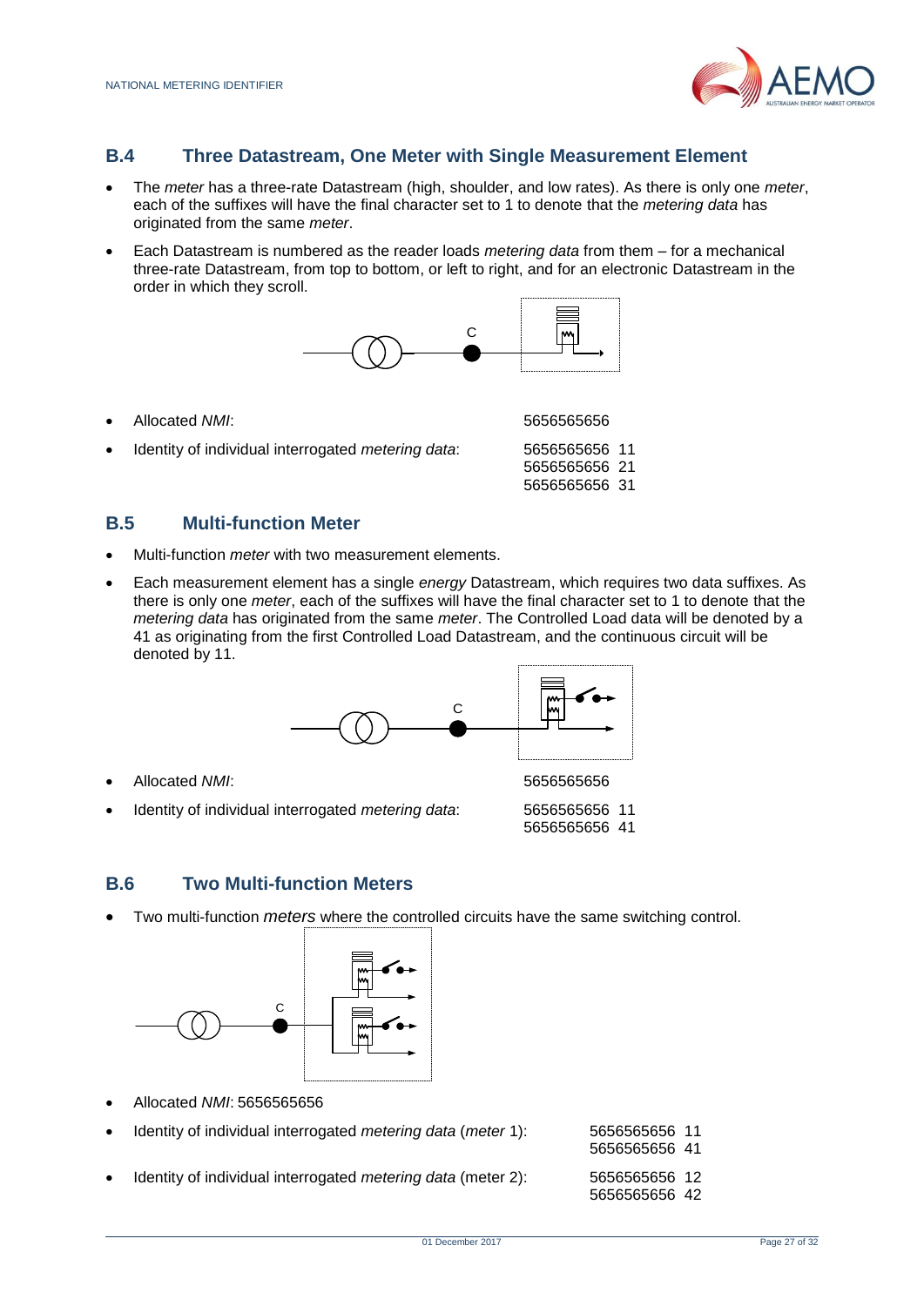

# <span id="page-26-0"></span>**B.4 Three Datastream, One Meter with Single Measurement Element**

- The *meter* has a three-rate Datastream (high, shoulder, and low rates). As there is only one *meter*, each of the suffixes will have the final character set to 1 to denote that the *metering data* has originated from the same *meter*.
- Each Datastream is numbered as the reader loads *metering data* from them for a mechanical three-rate Datastream, from top to bottom, or left to right, and for an electronic Datastream in the order in which they scroll.



- Allocated *NMI*: 5656565656
- Identity of individual interrogated *metering data*: 565656

| 5656565656 11 |  |
|---------------|--|
| 5656565656 21 |  |
| 5656565656 31 |  |

## <span id="page-26-1"></span>**B.5 Multi-function Meter**

- Multi-function *meter* with two measurement elements.
- Each measurement element has a single *energy* Datastream, which requires two data suffixes. As there is only one *meter*, each of the suffixes will have the final character set to 1 to denote that the *metering data* has originated from the same *meter*. The Controlled Load data will be denoted by a 41 as originating from the first Controlled Load Datastream, and the continuous circuit will be denoted by 11.



- Allocated *NMI*: 5656565656
- Identity of individual interrogated *metering data*: 5656565656 11

5656565656 41

# <span id="page-26-2"></span>**B.6 Two Multi-function Meters**

Two multi-function *meters* where the controlled circuits have the same switching control.



- Allocated *NMI*: 5656565656
- Identity of individual interrogated *metering data* (*meter* 1): 5656565656 11 5656565656 41
- Identity of individual interrogated *metering data* (meter 2): 5656565656 12 5656565656 42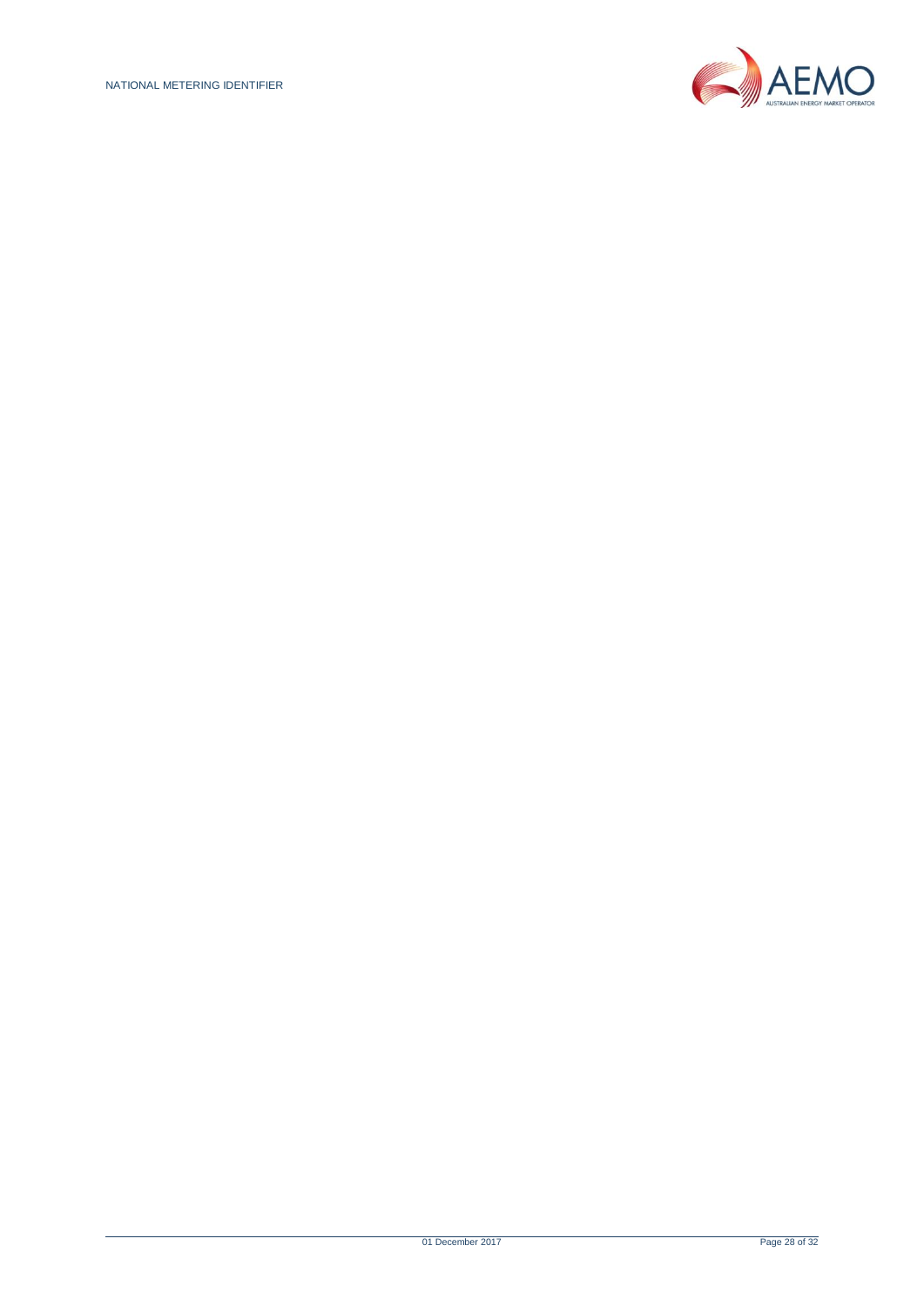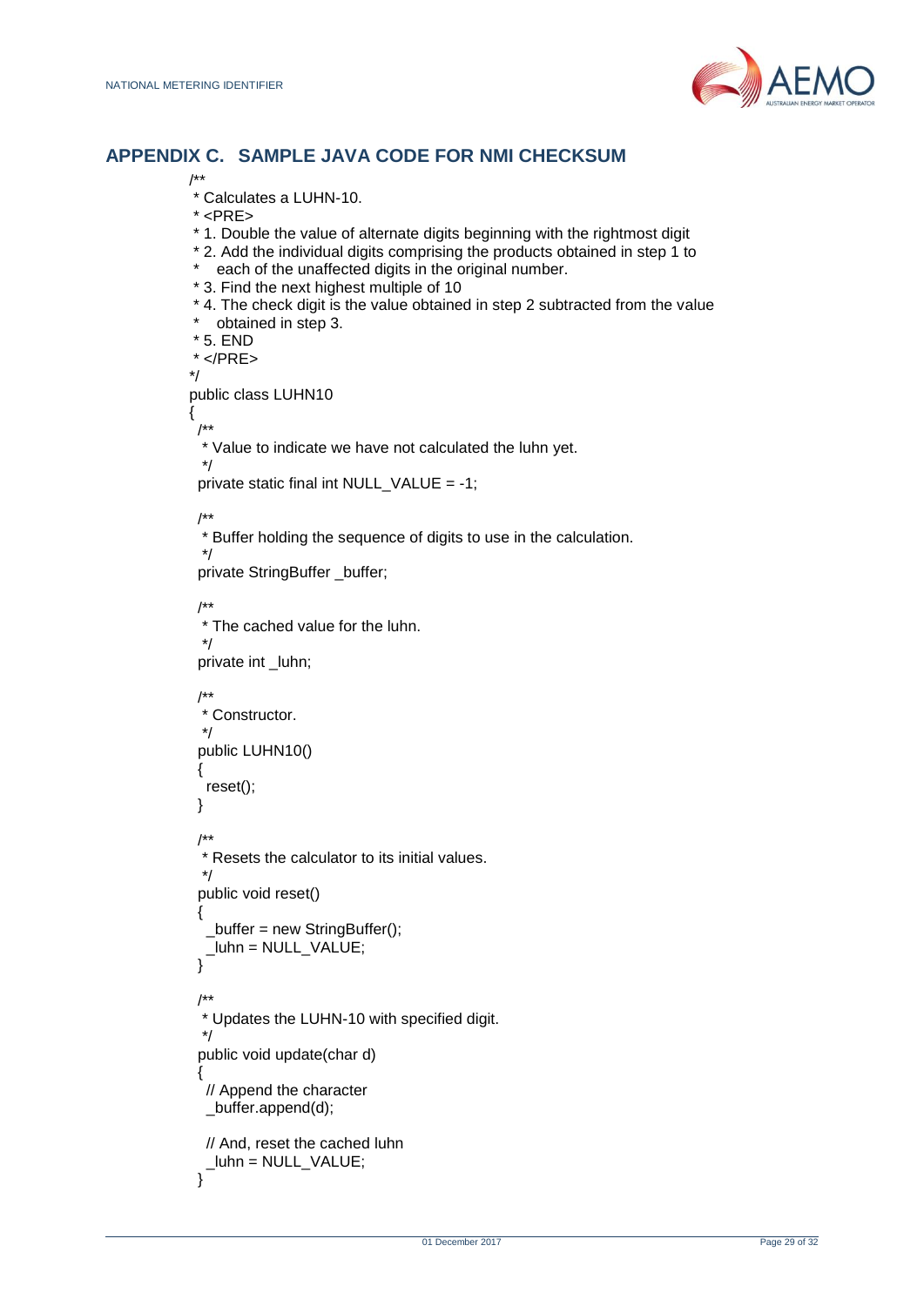

# <span id="page-28-0"></span>**APPENDIX C. SAMPLE JAVA CODE FOR NMI CHECKSUM**

/\*\*

- \* Calculates a LUHN-10.
- $*$  <PRE>
- \* 1. Double the value of alternate digits beginning with the rightmost digit
- \* 2. Add the individual digits comprising the products obtained in step 1 to
- \* each of the unaffected digits in the original number.
- \* 3. Find the next highest multiple of 10
- \* 4. The check digit is the value obtained in step 2 subtracted from the value
- \* obtained in step 3.
- \* 5. END

 $* <$ /PRE> \*/

public class LUHN10

$$
\{y^{\star\star}
$$

\* Value to indicate we have not calculated the luhn yet.

```
 */
 private static final int NULL_VALUE = -1;
```
/\*\*

 \* Buffer holding the sequence of digits to use in the calculation. \*/

private StringBuffer \_buffer;

/\*\*

 \* The cached value for the luhn. \*/

private int \_luhn;

```
 /**
 * Constructor.
 */
 public LUHN10()
 {
  reset();
 }
 /**
 * Resets the calculator to its initial values.
 */
 public void reset()
{
 buffer = new StringBuffer();
  _luhn = NULL_VALUE;
 }
 /**
 * Updates the LUHN-10 with specified digit.
 */
 public void update(char d)
 {
  // Append the character
  _buffer.append(d);
```

```
 // And, reset the cached luhn
  _luhn = NULL_VALUE;
 }
```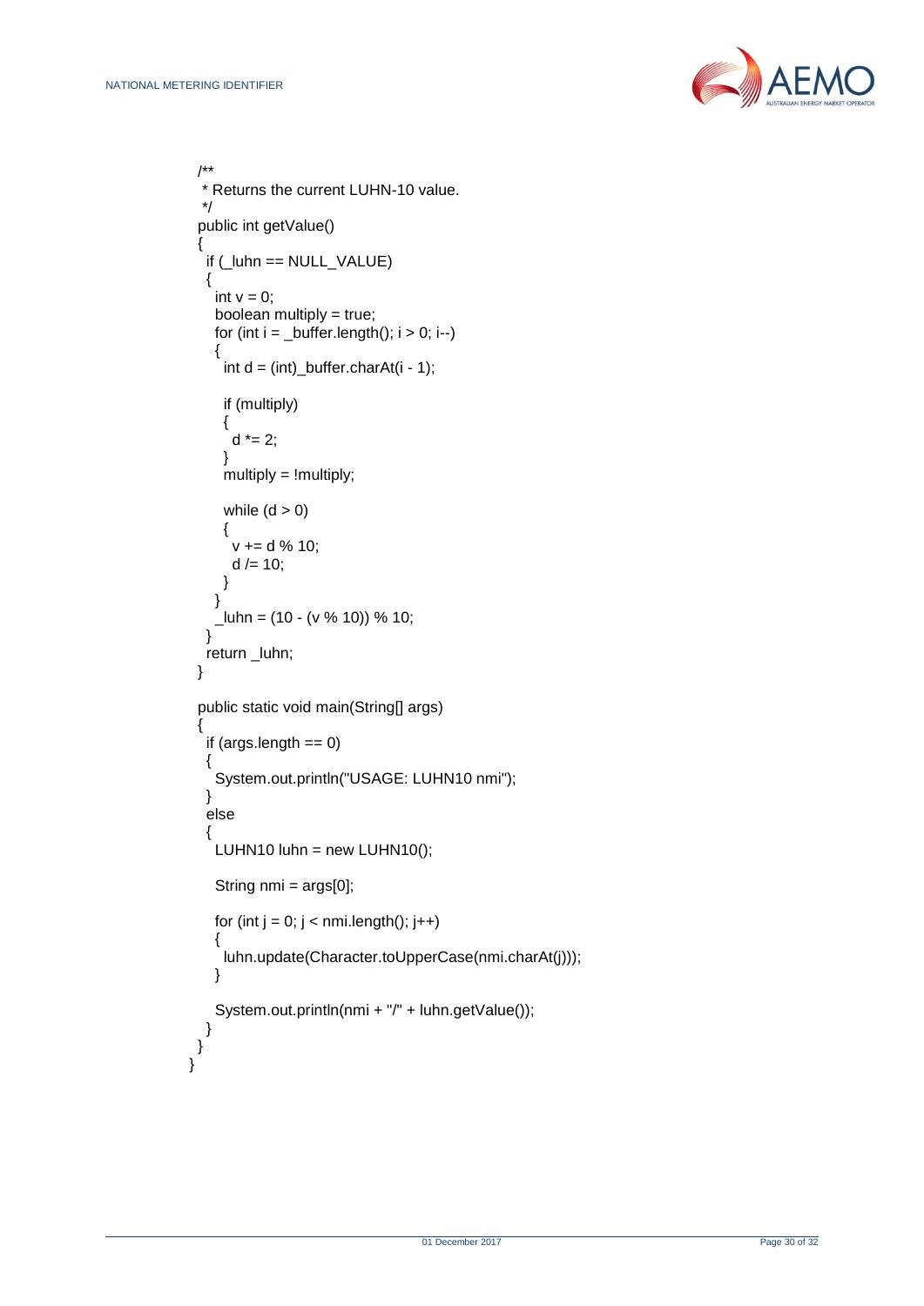

```
 /**
   * Returns the current LUHN-10 value.
   */
  public int getValue()
 {
   if (_luhn == NULL_VALUE)
   {
   int v = 0;
   boolean multiply = true;
   for (int i = _buffer.length(); i > 0; i--)
\{int d = (int) buffer.charAt(i - 1);
      if (multiply)
      {
      d^* = 2;
      }
      multiply = !multiply;
     while (d > 0) {
      v + = d \% 10;
      d = 10;
      }
     }
     Lluhn = (10 - (v % 10)) % 10;
   }
  return _luhn;
  }
  public static void main(String[] args)
  {
  if (\text{args.length} == 0) {
     System.out.println("USAGE: LUHN10 nmi");
   }
   else
\{LUHN10 luhn = new LUHN10();
     String nmi = args[0];
   for (int j = 0; j < nmi.length(); j++)
     {
      luhn.update(Character.toUpperCase(nmi.charAt(j)));
     }
     System.out.println(nmi + "/" + luhn.getValue());
   }
 }
}
```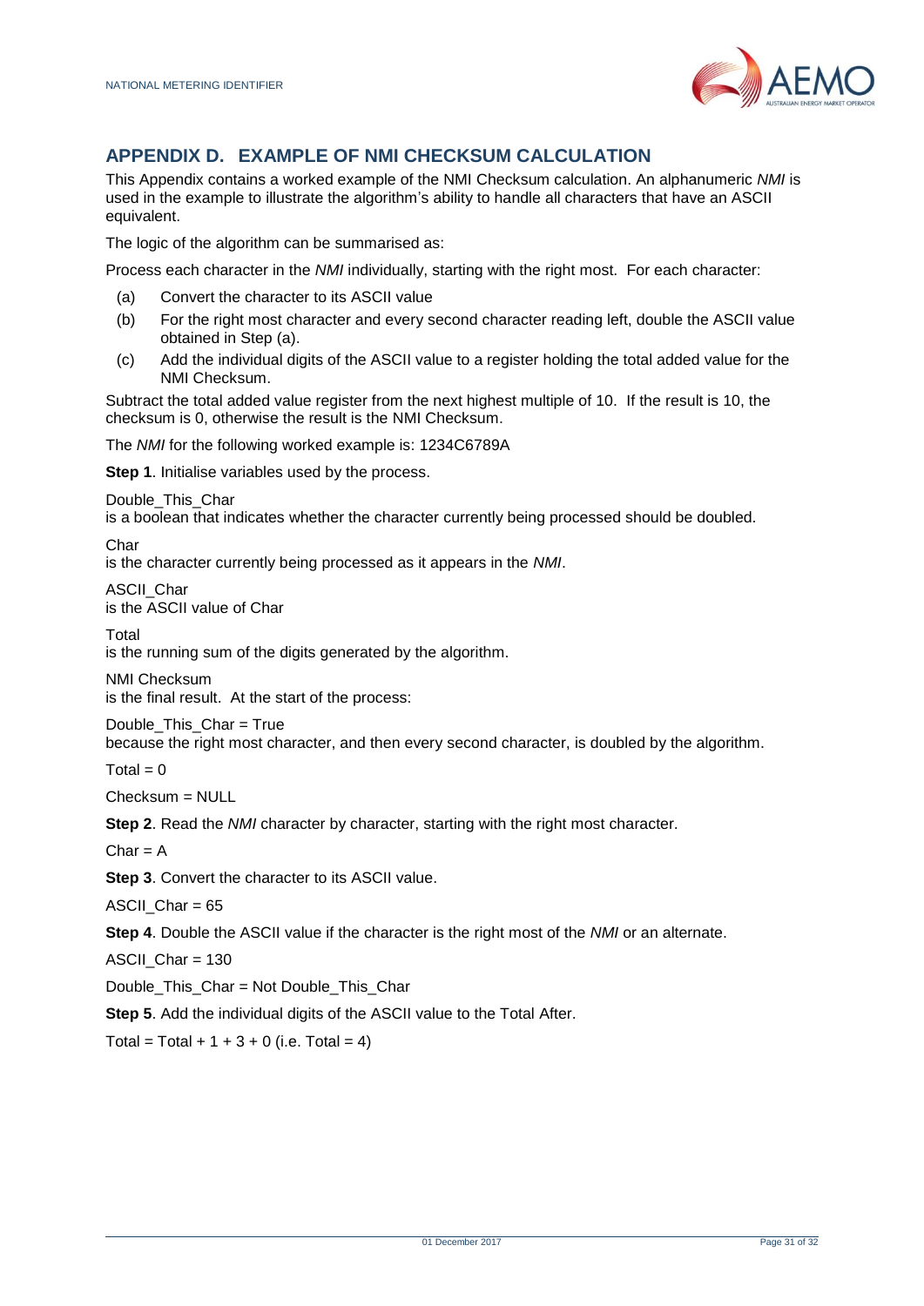

# <span id="page-30-0"></span>**APPENDIX D. EXAMPLE OF NMI CHECKSUM CALCULATION**

This Appendix contains a worked example of the NMI Checksum calculation. An alphanumeric *NMI* is used in the example to illustrate the algorithm's ability to handle all characters that have an ASCII equivalent.

The logic of the algorithm can be summarised as:

Process each character in the *NMI* individually, starting with the right most. For each character:

- (a) Convert the character to its ASCII value
- (b) For the right most character and every second character reading left, double the ASCII value obtained in Step (a).
- (c) Add the individual digits of the ASCII value to a register holding the total added value for the NMI Checksum.

Subtract the total added value register from the next highest multiple of 10. If the result is 10, the checksum is 0, otherwise the result is the NMI Checksum.

The *NMI* for the following worked example is: 1234C6789A

**Step 1.** Initialise variables used by the process.

Double\_This\_Char

is a boolean that indicates whether the character currently being processed should be doubled.

Char

is the character currently being processed as it appears in the *NMI*.

ASCII Char is the ASCII value of Char

Total

is the running sum of the digits generated by the algorithm.

NMI Checksum is the final result. At the start of the process:

Double\_This\_Char = True

because the right most character, and then every second character, is doubled by the algorithm.

 $Total = 0$ 

Checksum = NULL

**Step 2**. Read the *NMI* character by character, starting with the right most character.

 $Char = A$ 

**Step 3.** Convert the character to its ASCII value.

ASCII Char  $= 65$ 

**Step 4**. Double the ASCII value if the character is the right most of the *NMI* or an alternate.

ASCII Char = 130

Double\_This\_Char = Not Double\_This\_Char

**Step 5.** Add the individual digits of the ASCII value to the Total After.

Total = Total +  $1 + 3 + 0$  (i.e. Total = 4)